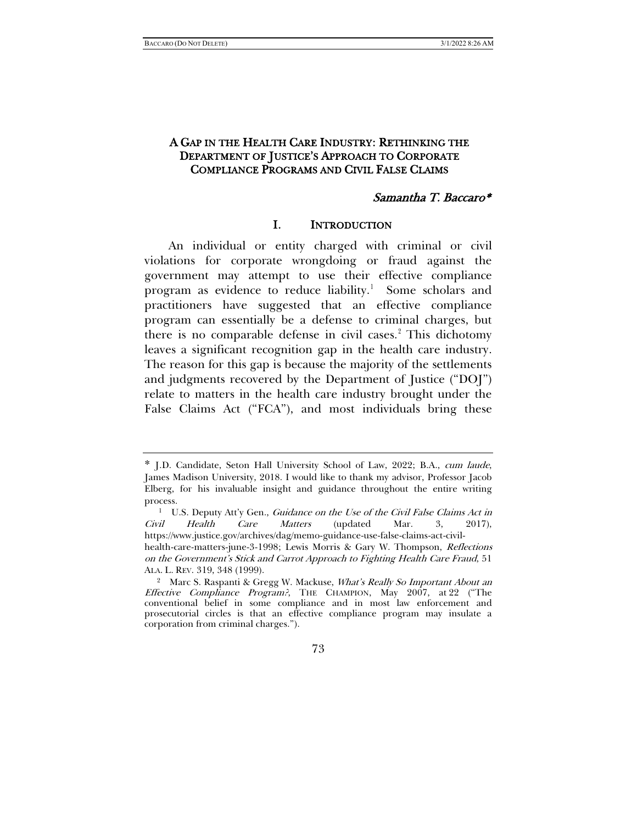# A GAP IN THE HEALTH CARE INDUSTRY: RETHINKING THE DEPARTMENT OF JUSTICE'S APPROACH TO CORPORATE COMPLIANCE PROGRAMS AND CIVIL FALSE CLAIMS

#### <span id="page-0-4"></span><span id="page-0-3"></span><span id="page-0-2"></span>Samantha T. Baccaro\*

#### I. INTRODUCTION

An individual or entity charged with criminal or civil violations for corporate wrongdoing or fraud against the government may attempt to use their effective compliance program as evidence to reduce liability.<sup>[1](#page-0-0)</sup> Some scholars and practitioners have suggested that an effective compliance program can essentially be a defense to criminal charges, but there is no comparable defense in civil cases. $\frac{1}{2}$  $\frac{1}{2}$  $\frac{1}{2}$  This dichotomy leaves a significant recognition gap in the health care industry. The reason for this gap is because the majority of the settlements and judgments recovered by the Department of Justice ("DOJ") relate to matters in the health care industry brought under the False Claims Act ("FCA"), and most individuals bring these

<span id="page-0-0"></span><sup>\*</sup> J.D. Candidate, Seton Hall University School of Law, 2022; B.A., cum laude, James Madison University, 2018. I would like to thank my advisor, Professor Jacob Elberg, for his invaluable insight and guidance throughout the entire writing process.

<sup>&</sup>lt;sup>1</sup> U.S. Deputy Att'y Gen., Guidance on the Use of the Civil False Claims Act in Civil Health Care Matters (updated Mar. 3, 2017), https://www.justice.gov/archives/dag/memo-guidance-use-false-claims-act-civilhealth-care-matters-june-3-1998; Lewis Morris & Gary W. Thompson, Reflections

on the Government's Stick and Carrot Approach to Fighting Health Care Fraud, 51 ALA. L. REV. 319, 348 (1999).

<span id="page-0-1"></span><sup>&</sup>lt;sup>2</sup> Marc S. Raspanti & Gregg W. Mackuse, What's Really So Important About an Effective Compliance Program?, THE CHAMPION, May 2007, at 22 ("The conventional belief in some compliance and in most law enforcement and prosecutorial circles is that an effective compliance program may insulate a corporation from criminal charges.").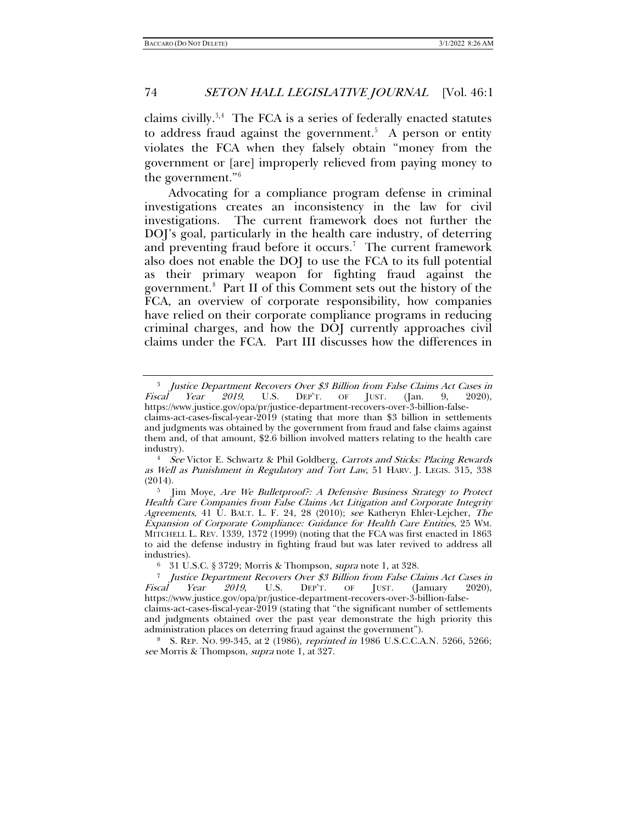<span id="page-1-7"></span><span id="page-1-6"></span>claims civilly. $3,4$  $3,4$  $3,4$  The FCA is a series of federally enacted statutes to address fraud against the government.<sup>[5](#page-1-2)</sup> A person or entity violates the FCA when they falsely obtain "money from the government or [are] improperly relieved from paying money to the government."[6](#page-1-3)

Advocating for a compliance program defense in criminal investigations creates an inconsistency in the law for civil investigations. The current framework does not further the DOJ's goal, particularly in the health care industry, of deterring and preventing fraud before it occurs.<sup>[7](#page-1-4)</sup> The current framework also does not enable the DOJ to use the FCA to its full potential as their primary weapon for fighting fraud against the government.[8](#page-1-5) Part II of this Comment sets out the history of the FCA, an overview of corporate responsibility, how companies have relied on their corporate compliance programs in reducing criminal charges, and how the DOJ currently approaches civil claims under the FCA. Part III discusses how the differences in

<span id="page-1-0"></span><sup>&</sup>lt;sup>3</sup> Justice Department Recovers Over \$3 Billion from False Claims Act Cases in Fiscal Year 2019, U.S. DEP'T. OF JUST. (Jan. 9, 2020), *Fear* 2019, U.S. DEP'T. OF JUST. (Jan. 9, 2020), https://www.justice.gov/opa/pr/justice-department-recovers-over-3-billion-falseclaims-act-cases-fiscal-year-2019 (stating that more than \$3 billion in settlements and judgments was obtained by the government from fraud and false claims against them and, of that amount, \$2.6 billion involved matters relating to the health care

<span id="page-1-1"></span>industry).<br><sup>4</sup> See Victor E. Schwartz & Phil Goldberg, Carrots and Sticks: Placing Rewards as Well as Punishment in Regulatory and Tort Law, 51 HARV. J. LEGIS. 315, 338 (2014).

<span id="page-1-2"></span><sup>&</sup>lt;sup>5</sup> Jim Moye, Are We Bulletproof?: A Defensive Business Strategy to Protect Health Care Companies from False Claims Act Litigation and Corporate Integrity Agreements, 41 U. BALT. L. F. 24, 28 (2010); see Katheryn Ehler-Lejcher, The Expansion of Corporate Compliance: Guidance for Health Care Entities, 25 WM. MITCHELL L. REV. 1339, 1372 (1999) (noting that the FCA was first enacted in 1863 to aid the defense industry in fighting fraud but was later revived to address all

industries).<br>
<sup>6</sup> 31 U.S.C. § 3729; Morris & Thompson, *supra* note [1,](#page-0-2) at 328.<br>
<sup>7</sup> Lustice Department Recovers Over \$3 Billion from False Cl

<span id="page-1-4"></span><span id="page-1-3"></span><sup>&</sup>lt;sup>7</sup> Justice Department Recovers Over \$3 Billion from False Claims Act Cases in Fiscal Year 2019, U.S. DEPT. OF JUST. (January 2020),  $\Gamma$ [anuary] https://www.justice.gov/opa/pr/justice-department-recovers-over-3-billion-falseclaims-act-cases-fiscal-year-2019 (stating that "the significant number of settlements and judgments obtained over the past year demonstrate the high priority this administration places on deterring fraud against the government").

<span id="page-1-5"></span><sup>&</sup>lt;sup>8</sup> S. REP. NO. 99-345, at 2 (1986), reprinted in 1986 U.S.C.C.A.N. 5266, 5266; see Morris & Thompson, supra not[e 1,](#page-0-2) at 327.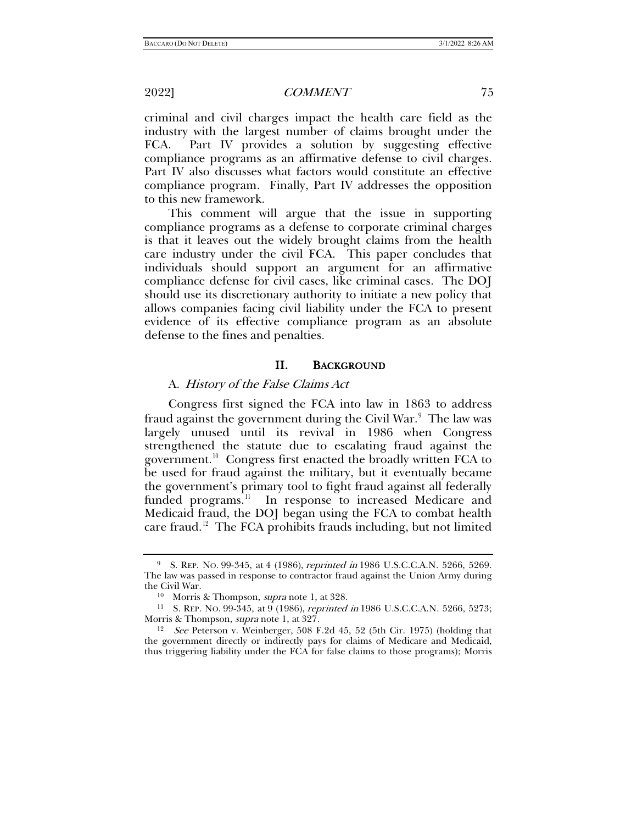criminal and civil charges impact the health care field as the industry with the largest number of claims brought under the FCA. Part IV provides a solution by suggesting effective compliance programs as an affirmative defense to civil charges. Part IV also discusses what factors would constitute an effective compliance program. Finally, Part IV addresses the opposition to this new framework.

This comment will argue that the issue in supporting compliance programs as a defense to corporate criminal charges is that it leaves out the widely brought claims from the health care industry under the civil FCA. This paper concludes that individuals should support an argument for an affirmative compliance defense for civil cases, like criminal cases. The DOJ should use its discretionary authority to initiate a new policy that allows companies facing civil liability under the FCA to present evidence of its effective compliance program as an absolute defense to the fines and penalties.

#### II. BACKGROUND

#### A. History of the False Claims Act

Congress first signed the FCA into law in 1863 to address fraud against the government during the Civil War. $^9$  $^9$  The law was largely unused until its revival in 1986 when Congress strengthened the statute due to escalating fraud against the government.<sup>10</sup> Congress first enacted the broadly written FCA to be used for fraud against the military, but it eventually became the government's primary tool to fight fraud against all federally funded programs.<sup>11</sup> In response to increased Medicare and Medicaid fraud, the DOJ began using the FCA to combat health care fraud.<sup>[12](#page-2-3)</sup> The FCA prohibits frauds including, but not limited

<span id="page-2-0"></span><sup>&</sup>lt;sup>9</sup> S. REP. No. 99-345, at 4 (1986), *reprinted in* 1986 U.S.C.C.A.N. 5266, 5269. The law was passed in response to contractor fraud against the Union Army during the Civil War.

<sup>10</sup> Morris & Thompson, supra note [1,](#page-0-2) at 328.

<span id="page-2-2"></span><span id="page-2-1"></span><sup>&</sup>lt;sup>11</sup> S. REP. NO. 99-345, at 9 (1986), *reprinted in* 1986 U.S.C.C.A.N. 5266, 5273; Morris & Thompson, *supra* note 1, at 327.

<span id="page-2-3"></span> $12$  *See* Peterson v. Weinberger, 508 F.2d 45, 52 (5th Cir. 1975) (holding that the government directly or indirectly pays for claims of Medicare and Medicaid, thus triggering liability under the FCA for false claims to those programs); Morris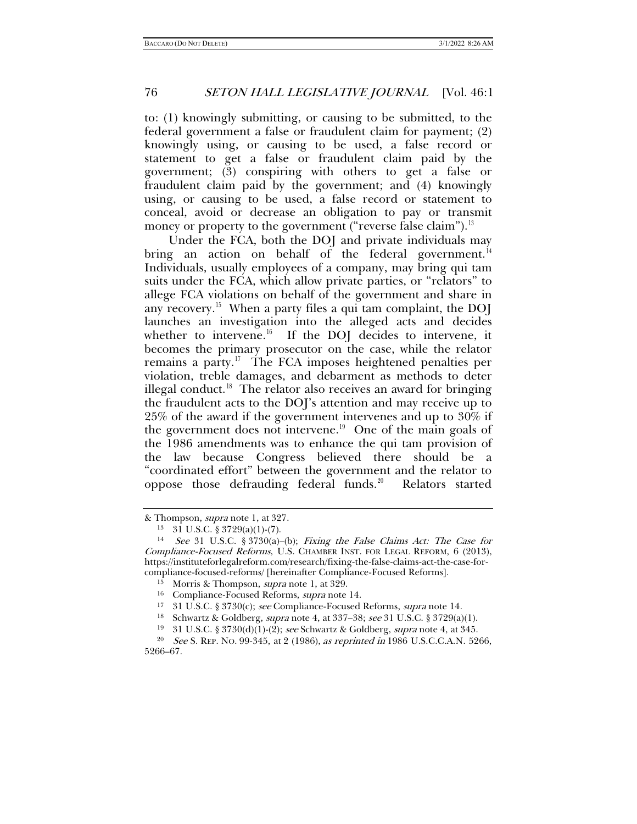to: (1) knowingly submitting, or causing to be submitted, to the federal government a false or fraudulent claim for payment; (2) knowingly using, or causing to be used, a false record or statement to get a false or fraudulent claim paid by the government; (3) conspiring with others to get a false or fraudulent claim paid by the government; and (4) knowingly using, or causing to be used, a false record or statement to conceal, avoid or decrease an obligation to pay or transmit money or property to the government ("reverse false claim").<sup>[13](#page-3-1)</sup>

<span id="page-3-0"></span>Under the FCA, both the DOJ and private individuals may bring an action on behalf of the federal government.<sup>14</sup> Individuals, usually employees of a company, may bring qui tam suits under the FCA, which allow private parties, or "relators" to allege FCA violations on behalf of the government and share in any recovery.<sup>15</sup> When a party files a qui tam complaint, the DOJ launches an investigation into the alleged acts and decides whether to intervene.<sup>16</sup> If the DOJ decides to intervene, it becomes the primary prosecutor on the case, while the relator remains a party.<sup>[17](#page-3-5)</sup> The FCA imposes heightened penalties per violation, treble damages, and debarment as methods to deter illegal conduct.<sup>[18](#page-3-6)</sup> The relator also receives an award for bringing the fraudulent acts to the DOJ's attention and may receive up to 25% of the award if the government intervenes and up to 30% if the government does not intervene.<sup>19</sup> One of the main goals of the 1986 amendments was to enhance the qui tam provision of the law because Congress believed there should be a "coordinated effort" between the government and the relator to oppose those defrauding federal funds.<sup>20</sup> Relators started

<span id="page-3-1"></span><sup>&</sup>amp; Thompson, supra not[e 1,](#page-0-2) at 327.

<sup>13</sup> 31 U.S.C. § 3729(a)(1)-(7).

<span id="page-3-3"></span><span id="page-3-2"></span><sup>14</sup> See 31 U.S.C. § 3730(a)–(b); Fixing the False Claims Act: The Case for Compliance-Focused Reforms, U.S. CHAMBER INST. FOR LEGAL REFORM, 6 (2013), https://instituteforlegalreform.com/research/fixing-the-false-claims-act-the-case-for-

<sup>&</sup>lt;sup>15</sup> Morris & Thompson, *supra* note [1,](#page-0-2) at 329.<br><sup>16</sup> Compliance-Focused Reforms, *supra* note [14.](#page-3-0)<br><sup>17</sup> 31 U.S.C. § 3730(c); *see* Compliance-Focused Reforms, *supra* note 14.<br><sup>18</sup> Schwartz & Goldberg, *supra* note [4,](#page-1-6) at 3

<span id="page-3-8"></span><span id="page-3-7"></span><span id="page-3-6"></span><span id="page-3-5"></span><span id="page-3-4"></span><sup>&</sup>lt;sup>20</sup> See S. REP. No. 99-345, at 2 (1986), as reprinted in 1986 U.S.C.C.A.N. 5266, 5266–67.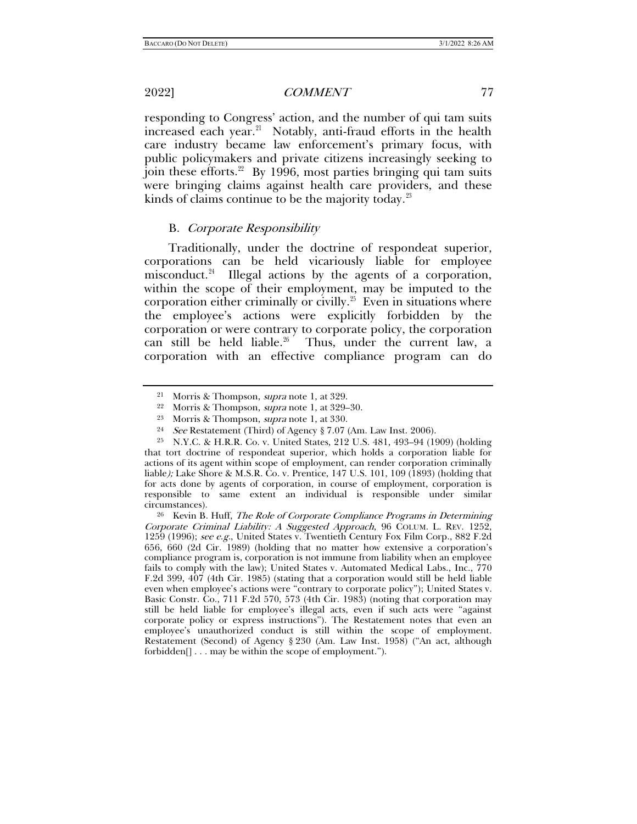responding to Congress' action, and the number of qui tam suits increased each year.<sup>21</sup> Notably, anti-fraud efforts in the health care industry became law enforcement's primary focus, with public policymakers and private citizens increasingly seeking to join these efforts. $22$  By 1996, most parties bringing qui tam suits were bringing claims against health care providers, and these kinds of claims continue to be the majority today. $23$ 

#### B. Corporate Responsibility

Traditionally, under the doctrine of respondeat superior, corporations can be held vicariously liable for employee misconduct.<sup>[24](#page-4-3)</sup> Illegal actions by the agents of a corporation, within the scope of their employment, may be imputed to the corporation either criminally or civilly.<sup>[25](#page-4-4)</sup> Even in situations where the employee's actions were explicitly forbidden by the corporation or were contrary to corporate policy, the corporation can still be held liable.<sup>26</sup> Thus, under the current law, a corporation with an effective compliance program can do

<sup>23</sup> Morris & Thompson, *supra* note [1,](#page-0-2) at 330.<br><sup>24</sup> See Restatement (Third) of Agency § 7.07 (Am. Law Inst. 2006).<br><sup>25</sup> N.Y.C. & H.R.R. Co. v. United States, 212 U.S. 481, 493–94 (1909) (holding

<span id="page-4-4"></span><span id="page-4-3"></span><span id="page-4-2"></span><span id="page-4-1"></span><span id="page-4-0"></span>that tort doctrine of respondeat superior, which holds a corporation liable for actions of its agent within scope of employment, can render corporation criminally liable); Lake Shore & M.S.R. Co. v. Prentice, 147 U.S. 101, 109 (1893) (holding that for acts done by agents of corporation, in course of employment, corporation is responsible to same extent an individual is responsible under similar circumstances).<br><sup>26</sup> Kevin B. Huff, *The Role of Corporate Compliance Programs in Determining* 

<span id="page-4-6"></span><sup>&</sup>lt;sup>21</sup> Morris & Thompson, *supra* note [1,](#page-0-2) at 329.

Morris & Thompson, *supra* note [1,](#page-0-2) at 329–30.

<span id="page-4-5"></span>Corporate Criminal Liability: A Suggested Approach, 96 COLUM. L. REV. 1252, 1259 (1996); see e.g., United States v. Twentieth Century Fox Film Corp., 882 F.2d 656, 660 (2d Cir. 1989) (holding that no matter how extensive a corporation's compliance program is, corporation is not immune from liability when an employee fails to comply with the law); United States v. Automated Medical Labs., Inc., 770 F.2d 399, 407 (4th Cir. 1985) (stating that a corporation would still be held liable even when employee's actions were "contrary to corporate policy"); United States v. Basic Constr. Co., 711 F.2d 570, 573 (4th Cir. 1983) (noting that corporation may still be held liable for employee's illegal acts, even if such acts were "against corporate policy or express instructions"). The Restatement notes that even an employee's unauthorized conduct is still within the scope of employment. Restatement (Second) of Agency § 230 (Am. Law Inst. 1958) ("An act, although forbidden[] . . . may be within the scope of employment.").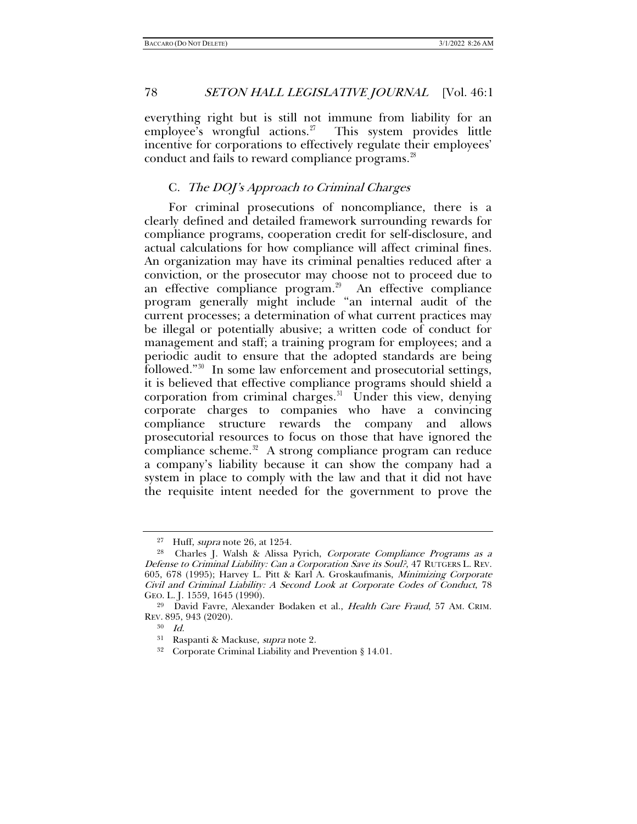everything right but is still not immune from liability for an employee's wrongful actions.<sup>[27](#page-5-0)</sup> This system provides little incentive for corporations to effectively regulate their employees' conduct and fails to reward compliance programs.<sup>28</sup>

#### <span id="page-5-6"></span>C. The DOJ's Approach to Criminal Charges

For criminal prosecutions of noncompliance, there is a clearly defined and detailed framework surrounding rewards for compliance programs, cooperation credit for self-disclosure, and actual calculations for how compliance will affect criminal fines. An organization may have its criminal penalties reduced after a conviction, or the prosecutor may choose not to proceed due to an effective compliance program. $29$  An effective compliance program generally might include "an internal audit of the current processes; a determination of what current practices may be illegal or potentially abusive; a written code of conduct for management and staff; a training program for employees; and a periodic audit to ensure that the adopted standards are being followed."[30](#page-5-3) In some law enforcement and prosecutorial settings, it is believed that effective compliance programs should shield a corporation from criminal charges. $31$  Under this view, denying corporate charges to companies who have a convincing compliance structure rewards the company and allows prosecutorial resources to focus on those that have ignored the compliance scheme. $32$  A strong compliance program can reduce a company's liability because it can show the company had a system in place to comply with the law and that it did not have the requisite intent needed for the government to prove the

<span id="page-5-1"></span><span id="page-5-0"></span><sup>&</sup>lt;sup>27</sup> Huff, *supra* note 26, at 1254.<br><sup>28</sup> Charles J. Walsh & Alissa Pyrich, *Corporate Compliance Programs as a* Defense to Criminal Liability: Can a Corporation Save its Soul?, 47 RUTGERS L. REV. 605, 678 (1995); Harvey L. Pitt & Karl A. Groskaufmanis, Minimizing Corporate Civil and Criminal Liability: A Second Look at Corporate Codes of Conduct, 78 GEO. L. J. 1559, 1645 (1990).<br><sup>29</sup> David Favre, Alexander Bodaken et al., *Health Care Fraud*, 57 AM. CRIM.

<span id="page-5-5"></span><span id="page-5-4"></span><span id="page-5-3"></span><span id="page-5-2"></span>REV. 895, 943 (2020).

<sup>30</sup> Id.

<sup>&</sup>lt;sup>31</sup> Raspanti & Mackuse, *supra* note [2.](#page-0-3)<br><sup>32</sup> Corporate Criminal Liability and Prevention § 14.01.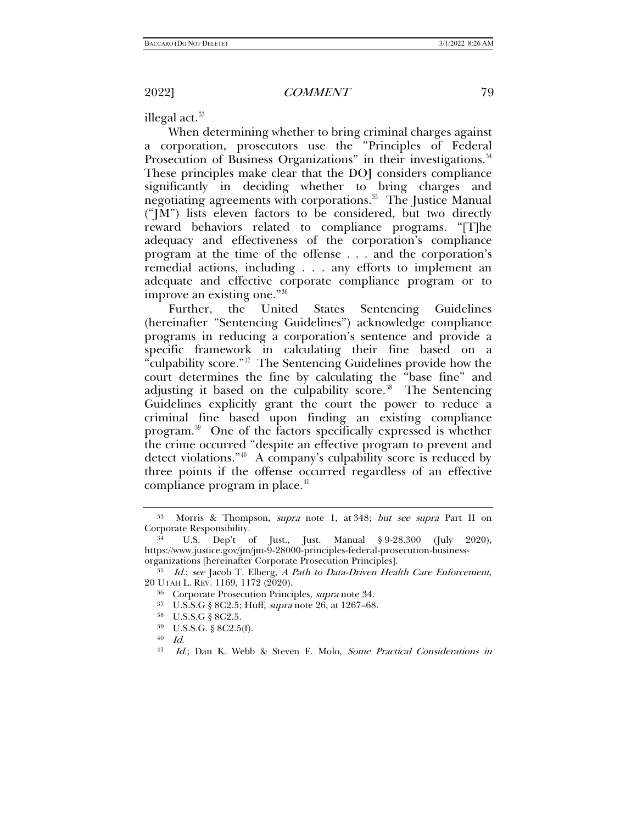illegal act. $33$ 

When determining whether to bring criminal charges against a corporation, prosecutors use the "Principles of Federal Prosecution of Business Organizations" in their investigations.<sup>34</sup> These principles make clear that the DOJ considers compliance significantly in deciding whether to bring charges and negotiating agreements with corporations.<sup>[35](#page-6-3)</sup> The Justice Manual ("JM") lists eleven factors to be considered, but two directly reward behaviors related to compliance programs. "[T]he adequacy and effectiveness of the corporation's compliance program at the time of the offense . . . and the corporation's remedial actions, including . . . any efforts to implement an adequate and effective corporate compliance program or to improve an existing one."[36](#page-6-4)

Further, the United States Sentencing Guidelines (hereinafter "Sentencing Guidelines") acknowledge compliance programs in reducing a corporation's sentence and provide a specific framework in calculating their fine based on a "culpability score."[37](#page-6-5) The Sentencing Guidelines provide how the court determines the fine by calculating the "base fine" and adjusting it based on the culpability score.<sup>38</sup> The Sentencing Guidelines explicitly grant the court the power to reduce a criminal fine based upon finding an existing compliance program[.39](#page-6-7) One of the factors specifically expressed is whether the crime occurred "despite an effective program to prevent and detect violations."[40](#page-6-8) A company's culpability score is reduced by three points if the offense occurred regardless of an effective compliance program in place.<sup>[41](#page-6-9)</sup>

<span id="page-6-10"></span><span id="page-6-0"></span>

<span id="page-6-11"></span><span id="page-6-1"></span> $33$  Morris & Thompson, *supra* note [1,](#page-0-2) at 348; *but see supra* Part II on Corporate Responsibility.

<span id="page-6-2"></span>U.S. Dep't of Just., Just. Manual  $\S 9-28.300$  (July 2020), https://www.justice.gov/jm/jm-9-28000-principles-federal-prosecution-business-

<span id="page-6-7"></span><span id="page-6-6"></span><span id="page-6-5"></span><span id="page-6-4"></span><span id="page-6-3"></span> $^{35}$  *Id.*; see Jacob T. Elberg, A Path to Data-Driven Health Care Enforcement, 20 UTAH L. REV. 1169, 1172 (2020).

<sup>&</sup>lt;sup>36</sup> Corporate Prosecution Principles, *supra* note [34.](#page-6-0)<br><sup>37</sup> U.S.S.G § 8C2.5; Huff, *supra* note [26,](#page-4-6) at 1267–68.<br><sup>39</sup> U.S.S.G. § 8C2.5(f).

<sup>40</sup> Id.

<span id="page-6-9"></span><span id="page-6-8"></span><sup>41</sup> Id.; Dan K. Webb & Steven F. Molo, Some Practical Considerations in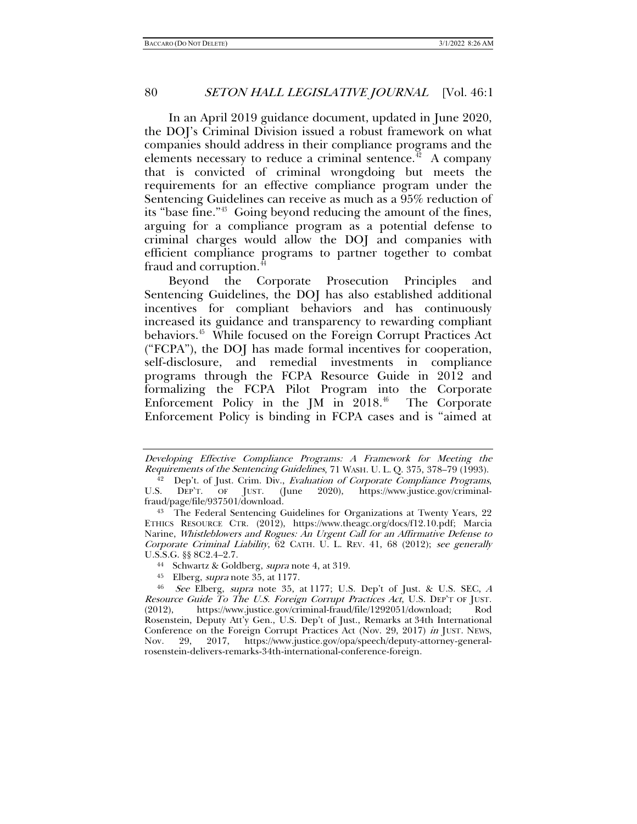In an April 2019 guidance document, updated in June 2020, the DOJ's Criminal Division issued a robust framework on what companies should address in their compliance programs and the elements necessary to reduce a criminal sentence.<sup> $42$ </sup> A company that is convicted of criminal wrongdoing but meets the requirements for an effective compliance program under the Sentencing Guidelines can receive as much as a 95% reduction of its "base fine."[43](#page-7-1) Going beyond reducing the amount of the fines, arguing for a compliance program as a potential defense to criminal charges would allow the DOJ and companies with efficient compliance programs to partner together to combat fraud and corruption.<sup>[44](#page-7-2)</sup>

<span id="page-7-5"></span>Beyond the Corporate Prosecution Principles and Sentencing Guidelines, the DOJ has also established additional incentives for compliant behaviors and has continuously increased its guidance and transparency to rewarding compliant behaviors.<sup>45</sup> While focused on the Foreign Corrupt Practices Act ("FCPA"), the DOJ has made formal incentives for cooperation, self-disclosure, and remedial investments in compliance programs through the FCPA Resource Guide in 2012 and formalizing the FCPA Pilot Program into the Corporate Enforcement Policy in the JM in  $2018<sup>46</sup>$  The Corporate Enforcement Policy is binding in FCPA cases and is "aimed at

<span id="page-7-2"></span>U.S.S.G. §§ 8C2.4–2.7.<br><sup>44</sup> Schwartz & Goldberg, *supra* note [4,](#page-1-6) at 319.<br><sup>45</sup> Elberg, *supra* note [35,](#page-6-10) at 1177.<br><sup>46</sup> See Elberg, *supra* note 35, at 1177: IIS

Developing Effective Compliance Programs: A Framework for Meeting the Requirements of the Sentencing Guidelines, 71 WASH. U. L. Q. 375, 378–79 (1993).

<span id="page-7-0"></span><sup>&</sup>lt;sup>42</sup> Dep't. of Just. Crim. Div., Evaluation of Corporate Compliance Programs,<br>S. DEP'T. OF JUST. (June 2020), https://www.justice.gov/criminal-U.S. DEP'T. OF JUST. (June 2020), https://www.justice.gov/criminal-<br>fraud/page/file/937501/download.

<span id="page-7-1"></span><sup>&</sup>lt;sup>43</sup> The Federal Sentencing Guidelines for Organizations at Twenty Years, 22 ETHICS RESOURCE CTR. (2012), https://www.theagc.org/docs/f12.10.pdf; Marcia Narine, Whistleblowers and Rogues: An Urgent Call for an Affirmative Defense to Corporate Criminal Liability, 62 CATH. U. L. REV. 41, 68 (2012); see generally

<span id="page-7-4"></span><span id="page-7-3"></span>See Elberg, supra note [35,](#page-6-10) at 1177; U.S. Dep't of Just. & U.S. SEC, A Resource Guide To The U.S. Foreign Corrupt Practices Act, U.S. DEP'T OF JUST. (2012), https://www.justice.gov/criminal-fraud/file/1292051/download; Rosenstein, Deputy Att'y Gen., U.S. Dep't of Just., Remarks at 34th International Conference on the Foreign Corrupt Practices Act (Nov. 29, 2017) in JUST. NEWS, Nov. 29, 2017, https://www.justice.gov/opa/speech/deputy-attorney-generalrosenstein-delivers-remarks-34th-international-conference-foreign.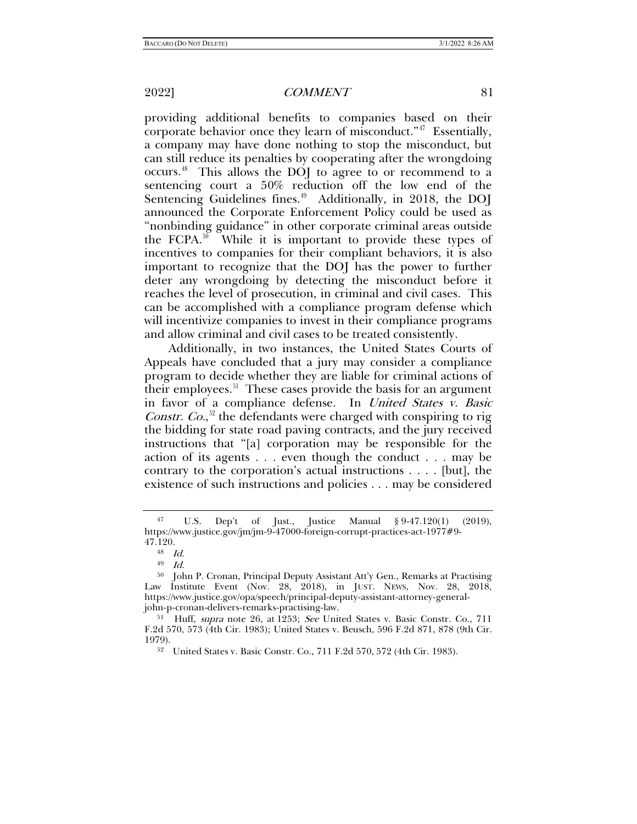providing additional benefits to companies based on their corporate behavior once they learn of misconduct."<sup>47</sup> Essentially, a company may have done nothing to stop the misconduct, but can still reduce its penalties by cooperating after the wrongdoing occurs.[48](#page-8-1) This allows the DOJ to agree to or recommend to a sentencing court a 50% reduction off the low end of the Sentencing Guidelines fines. $49$  Additionally, in 2018, the DOJ announced the Corporate Enforcement Policy could be used as "nonbinding guidance" in other corporate criminal areas outside the FCPA. $50$  While it is important to provide these types of incentives to companies for their compliant behaviors, it is also important to recognize that the DOJ has the power to further deter any wrongdoing by detecting the misconduct before it reaches the level of prosecution, in criminal and civil cases. This can be accomplished with a compliance program defense which will incentivize companies to invest in their compliance programs and allow criminal and civil cases to be treated consistently.

Additionally, in two instances, the United States Courts of Appeals have concluded that a jury may consider a compliance program to decide whether they are liable for criminal actions of their employees. $51$  These cases provide the basis for an argument in favor of a compliance defense. In United States v. Basic *Constr. Co.*,<sup>[52](#page-8-5)</sup> the defendants were charged with conspiring to rig the bidding for state road paving contracts, and the jury received instructions that "[a] corporation may be responsible for the action of its agents . . . even though the conduct . . . may be contrary to the corporation's actual instructions . . . . [but], the existence of such instructions and policies . . . may be considered

<span id="page-8-0"></span><sup>47</sup> U.S. Dep't of Just., Justice Manual § 9-47.120(1) (2019), https://www.justice.gov/jm/jm-9-47000-foreign-corrupt-practices-act-1977#9-

 $^{48} \quad Id.$ 

<sup>49</sup> Id.

<span id="page-8-3"></span><span id="page-8-2"></span><span id="page-8-1"></span><sup>50</sup> John P. Cronan, Principal Deputy Assistant Att'y Gen., Remarks at Practising Law Institute Event (Nov. 28, 2018), in JUST. NEWS, Nov. 28, 2018, https://www.justice.gov/opa/speech/principal-deputy-assistant-attorney-generaljohn-p-cronan-delivers-remarks-practising-law. 51 Huff, supra note [26,](#page-4-6) at 1253; See United States v. Basic Constr. Co., 711

<span id="page-8-5"></span><span id="page-8-4"></span>F.2d 570, 573 (4th Cir. 1983); United States v. Beusch, 596 F.2d 871, 878 (9th Cir.

<sup>&</sup>lt;sup>52</sup> United States v. Basic Constr. Co., 711 F.2d 570, 572 (4th Cir. 1983).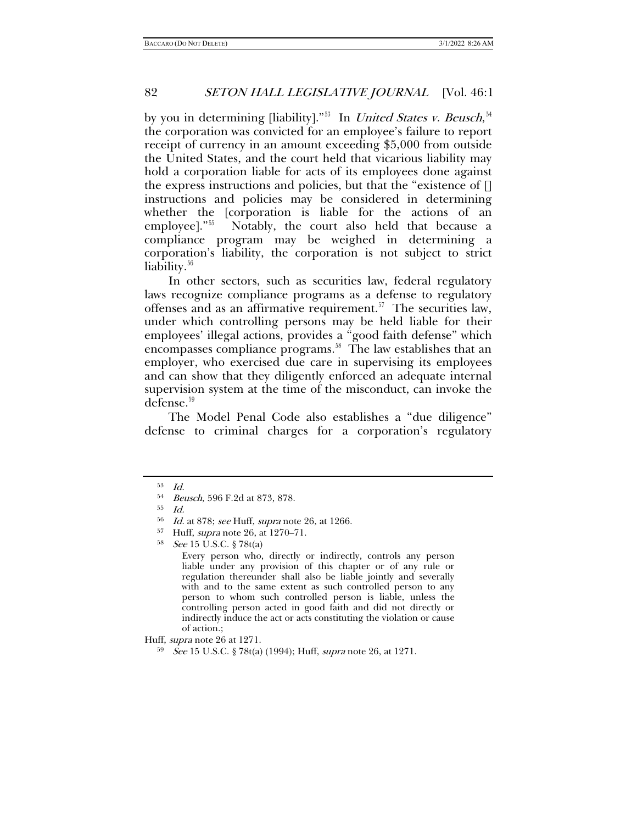by you in determining [liability]."<sup>53</sup> In *United States v. Beusch*,<sup>[54](#page-9-1)</sup> the corporation was convicted for an employee's failure to report receipt of currency in an amount exceeding \$5,000 from outside the United States, and the court held that vicarious liability may hold a corporation liable for acts of its employees done against the express instructions and policies, but that the "existence of [] instructions and policies may be considered in determining whether the [corporation is liable for the actions of an employee]."<sup>[55](#page-9-2)</sup> Notably, the court also held that because a compliance program may be weighed in determining a corporation's liability, the corporation is not subject to strict liability.<sup>[56](#page-9-3)</sup>

In other sectors, such as securities law, federal regulatory laws recognize compliance programs as a defense to regulatory offenses and as an affirmative requirement.<sup>[57](#page-9-4)</sup> The securities law, under which controlling persons may be held liable for their employees' illegal actions, provides a "good faith defense" which encompasses compliance programs.<sup>[58](#page-9-5)</sup> The law establishes that an employer, who exercised due care in supervising its employees and can show that they diligently enforced an adequate internal supervision system at the time of the misconduct, can invoke the defense[.59](#page-9-6)

The Model Penal Code also establishes a "due diligence" defense to criminal charges for a corporation's regulatory

<span id="page-9-0"></span><sup>53</sup> Id.

<span id="page-9-1"></span><sup>54</sup> Beusch, 596 F.2d at 873, 878.

<span id="page-9-2"></span><sup>55</sup> Id.

<span id="page-9-4"></span><span id="page-9-3"></span> $^{56}$  *Id.* at 878; see Huff, supra note [26,](#page-4-6) at 1266.<br> $^{57}$  Huff, supra note 26, at 1270, 71

<span id="page-9-5"></span><sup>&</sup>lt;sup>57</sup> Huff, *supra* note 26, at 1270–71.<br><sup>58</sup> *See* 15 U.S.C. § 78t(a)

Every person who, directly or indirectly, controls any person liable under any provision of this chapter or of any rule or regulation thereunder shall also be liable jointly and severally with and to the same extent as such controlled person to any person to whom such controlled person is liable, unless the controlling person acted in good faith and did not directly or indirectly induce the act or acts constituting the violation or cause of action.;

<span id="page-9-6"></span>Huff, *supra* note 26 at 1271.<br><sup>59</sup> See 15 U.S.C. § 78t(a) (1994); Huff, *supra* note [26,](#page-4-6) at 1271.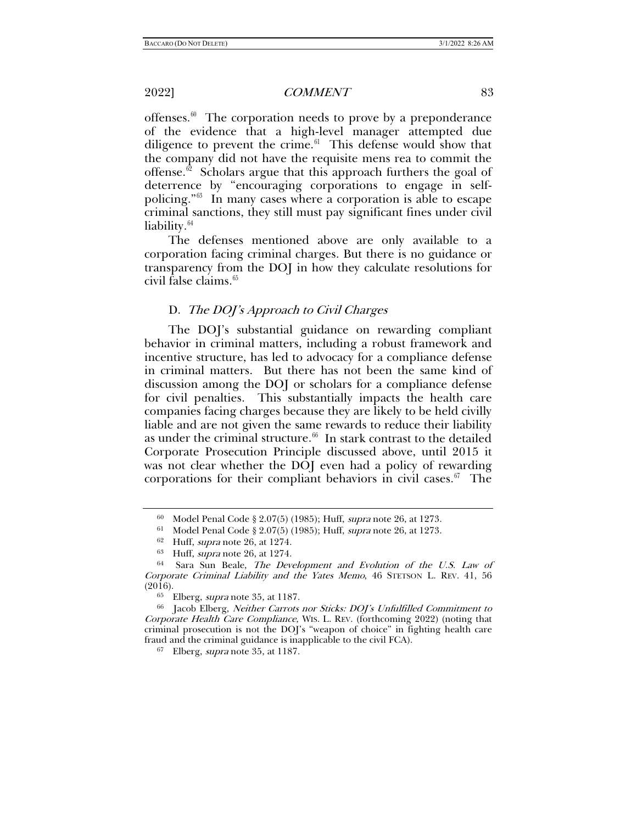offenses. $\theta$  The corporation needs to prove by a preponderance of the evidence that a high-level manager attempted due diligence to prevent the crime. $61$  This defense would show that the company did not have the requisite mens rea to commit the offense.<sup>62</sup> Scholars argue that this approach furthers the goal of deterrence by "encouraging corporations to engage in selfpolicing."[63](#page-10-3) In many cases where a corporation is able to escape criminal sanctions, they still must pay significant fines under civil liability.<sup>[64](#page-10-4)</sup>

<span id="page-10-8"></span>The defenses mentioned above are only available to a corporation facing criminal charges. But there is no guidance or transparency from the DOJ in how they calculate resolutions for civil false claims. $65$ 

#### D. The DOJ's Approach to Civil Charges

The DOJ's substantial guidance on rewarding compliant behavior in criminal matters, including a robust framework and incentive structure, has led to advocacy for a compliance defense in criminal matters. But there has not been the same kind of discussion among the DOJ or scholars for a compliance defense for civil penalties. This substantially impacts the health care companies facing charges because they are likely to be held civilly liable and are not given the same rewards to reduce their liability as under the criminal structure. $66$  In stark contrast to the detailed Corporate Prosecution Principle discussed above, until 2015 it was not clear whether the DOJ even had a policy of rewarding corporations for their compliant behaviors in civil cases. $\frac{67}{10}$  $\frac{67}{10}$  $\frac{67}{10}$  The

<sup>67</sup> Elberg, supra note [35,](#page-6-10) at 1187.

<span id="page-10-9"></span><sup>&</sup>lt;sup>60</sup> Model Penal Code § 2.07(5) (1985); Huff, *supra* note [26,](#page-4-6) at 1273.<br>
<sup>61</sup> Model Penal Code § 2.07(5) (1985); Huff, *supra* note [26,](#page-4-6) at 1273.<br>
<sup>62</sup> Huff, *supra* note 26, at 1274.<br>
<sup>63</sup> Huff, *supra* note 26, at 1274.<br>

<span id="page-10-4"></span><span id="page-10-3"></span><span id="page-10-2"></span><span id="page-10-1"></span><span id="page-10-0"></span>Corporate Criminal Liability and the Yates Memo, 46 STETSON L. REV. 41, 56 (2016). Elberg, *supra* note 35, at 1187.

<span id="page-10-7"></span><span id="page-10-6"></span><span id="page-10-5"></span><sup>66</sup> Jacob Elberg, Neither Carrots nor Sticks: DOJ's Unfulfilled Commitment to Corporate Health Care Compliance, WIS. L. REV. (forthcoming 2022) (noting that criminal prosecution is not the DOJ's "weapon of choice" in fighting health care fraud and the criminal guidance is inapplicable to the civil FCA).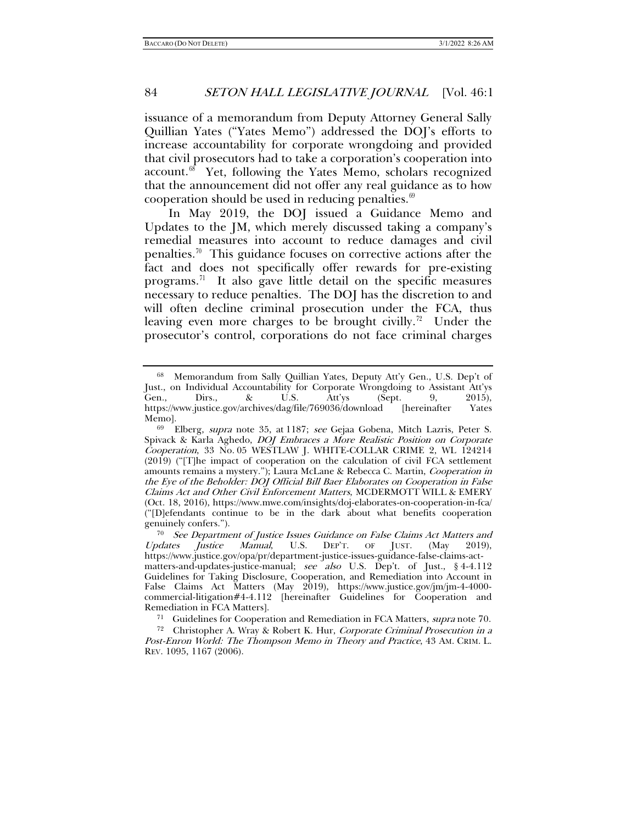issuance of a memorandum from Deputy Attorney General Sally Quillian Yates ("Yates Memo") addressed the DOJ's efforts to increase accountability for corporate wrongdoing and provided that civil prosecutors had to take a corporation's cooperation into account.<sup>[68](#page-11-1)</sup> Yet, following the Yates Memo, scholars recognized that the announcement did not offer any real guidance as to how cooperation should be used in reducing penalties. $69$ 

<span id="page-11-0"></span>In May 2019, the DOJ issued a Guidance Memo and Updates to the JM, which merely discussed taking a company's remedial measures into account to reduce damages and civil penalties.<sup>70</sup> This guidance focuses on corrective actions after the fact and does not specifically offer rewards for pre-existing programs. $71$  It also gave little detail on the specific measures necessary to reduce penalties. The DOJ has the discretion to and will often decline criminal prosecution under the FCA, thus leaving even more charges to be brought civilly.<sup>72</sup> Under the prosecutor's control, corporations do not face criminal charges

<span id="page-11-6"></span><span id="page-11-1"></span><sup>68</sup> Memorandum from Sally Quillian Yates, Deputy Att'y Gen., U.S. Dep't of Just., on Individual Accountability for Corporate Wrongdoing to Assistant Att'ys Gen., Dirs., & U.S. Att'ys (Sept. 9, 2015), https://www.justice.gov/archives/dag/file/769036/download [hereinafter Yates

<span id="page-11-2"></span>Memo].<br><sup>69</sup> Elberg, *supra* note [35,](#page-6-10) at 1187; *see* Gejaa Gobena, Mitch Lazris, Peter S. Spivack & Karla Aghedo, DOJ Embraces a More Realistic Position on Corporate Cooperation, 33 No. 05 WESTLAW J. WHITE-COLLAR CRIME 2, WL 124214 (2019) ("[T]he impact of cooperation on the calculation of civil FCA settlement amounts remains a mystery."); Laura McLane & Rebecca C. Martin, *Cooperation in* the Eye of the Beholder: DOJ Official Bill Baer Elaborates on Cooperation in False Claims Act and Other Civil Enforcement Matters, MCDERMOTT WILL & EMERY (Oct. 18, 2016), https://www.mwe.com/insights/doj-elaborates-on-cooperation-in-fca/ ("[D]efendants continue to be in the dark about what benefits cooperation genuinely confers.").

<span id="page-11-3"></span><sup>70</sup> See Department of Justice Issues Guidance on False Claims Act Matters and Updates Justice Manual, U.S. DEP'T. OF JUST. (May 2019), https://www.justice.gov/opa/pr/department-justice-issues-guidance-false-claims-actmatters-and-updates-justice-manual; see also U.S. Dep't. of Just., § 4-4.112 Guidelines for Taking Disclosure, Cooperation, and Remediation into Account in False Claims Act Matters (May 2019), https://www.justice.gov/jm/jm-4-4000commercial-litigation#4-4.112 [hereinafter Guidelines for Cooperation and Remediation in FCA Matters].

<sup>&</sup>lt;sup>71</sup> Guidelines for Cooperation and Remediation in FCA Matters, *supra* note [70.](#page-11-0)<br><sup>72</sup> Christopher A. Wray & Robert K. Hur, *Corporate Criminal Prosecution in a* 

<span id="page-11-5"></span><span id="page-11-4"></span>Post-Enron World: The Thompson Memo in Theory and Practice, 43 AM. CRIM. L. REV. 1095, 1167 (2006).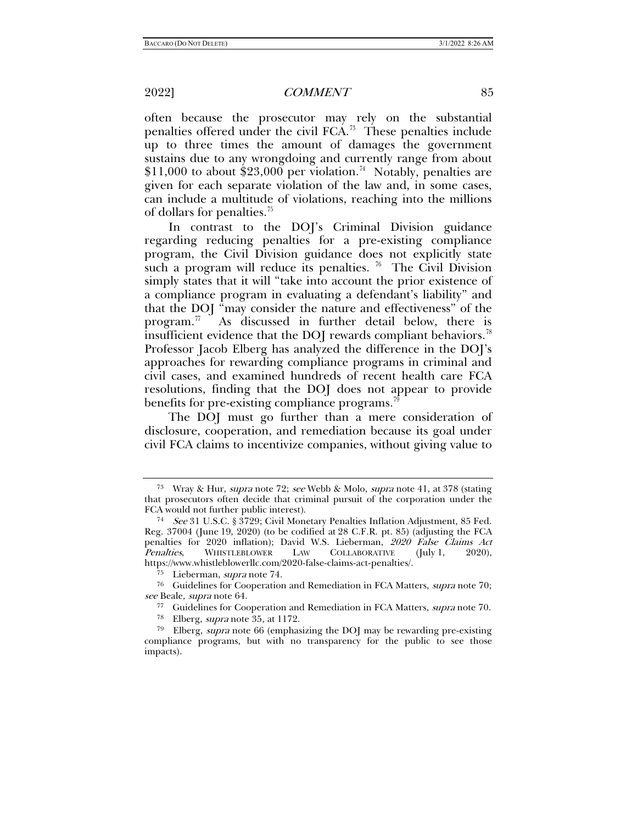often because the prosecutor may rely on the substantial penalties offered under the civil FCA.[73](#page-12-1) These penalties include up to three times the amount of damages the government sustains due to any wrongdoing and currently range from about  $$11,000$  to about \$23,000 per violation.<sup>[74](#page-12-2)</sup> Notably, penalties are given for each separate violation of the law and, in some cases, can include a multitude of violations, reaching into the millions of dollars for penalties.[75](#page-12-3)

In contrast to the DOJ's Criminal Division guidance regarding reducing penalties for a pre-existing compliance program, the Civil Division guidance does not explicitly state such a program will reduce its penalties.  $\frac{76}{10}$  The Civil Division simply states that it will "take into account the prior existence of a compliance program in evaluating a defendant's liability" and that the DOJ "may consider the nature and effectiveness" of the program.<sup>77</sup> As discussed in further detail below, there is insufficient evidence that the DOJ rewards compliant behaviors.<sup>78</sup> Professor Jacob Elberg has analyzed the difference in the DOJ's approaches for rewarding compliance programs in criminal and civil cases, and examined hundreds of recent health care FCA resolutions, finding that the DOJ does not appear to provide benefits for pre-existing compliance programs.<sup>7</sup>

The DOJ must go further than a mere consideration of disclosure, cooperation, and remediation because its goal under civil FCA claims to incentivize companies, without giving value to

<span id="page-12-0"></span>

<span id="page-12-1"></span><sup>&</sup>lt;sup>73</sup> Wray & Hur, *supra* note [72;](#page-11-6) see Webb & Molo, *supra* note [41,](#page-6-11) at 378 (stating that prosecutors often decide that criminal pursuit of the corporation under the FCA would not further public interest).

<span id="page-12-2"></span><sup>74</sup> See 31 U.S.C. § 3729; Civil Monetary Penalties Inflation Adjustment, 85 Fed. Reg. 37004 (June 19, 2020) (to be codified at 28 C.F.R. pt. 85) (adjusting the FCA penalties for 2020 inflation); David W.S. Lieberman, 2020 False Claims Act Penalties, WHISTLEBLOWER LAW COLLABORATIVE (July 1, 2020), https://www.whistleblowerllc.com/2020-false-claims-act-penalties/.

<sup>75</sup> Lieberman, supra note [74.](#page-12-0)

<span id="page-12-5"></span><span id="page-12-4"></span><span id="page-12-3"></span><sup>76</sup> Guidelines for Cooperation and Remediation in FCA Matters, supra note [70;](#page-11-0)  see Beale, *supra* note 64.<br><sup>77</sup> Guidelines for Cooperation and Remediation in FCA Matters, *supra* note [70.](#page-11-0)<br><sup>78</sup> Elberg, *supra* note [35,](#page-6-10) at 1172.

<span id="page-12-7"></span><span id="page-12-6"></span> $79$  Elberg, *supra* note [66](#page-10-9) (emphasizing the DOJ may be rewarding pre-existing compliance programs, but with no transparency for the public to see those impacts).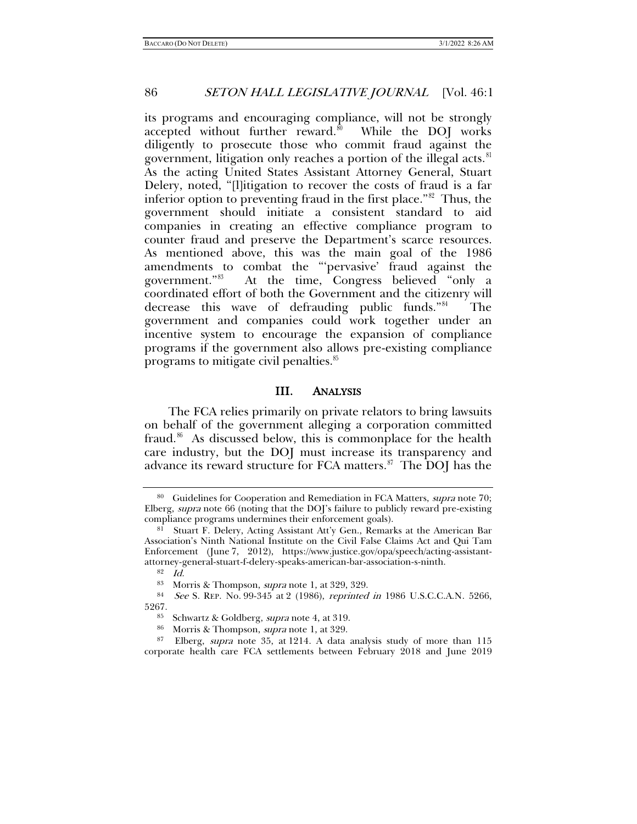its programs and encouraging compliance, will not be strongly accepted without further reward.<sup>[80](#page-13-0)</sup> While the DOJ works diligently to prosecute those who commit fraud against the government, litigation only reaches a portion of the illegal acts.<sup>[81](#page-13-1)</sup> As the acting United States Assistant Attorney General, Stuart Delery, noted, "[l]itigation to recover the costs of fraud is a far inferior option to preventing fraud in the first place."[82](#page-13-2) Thus, the government should initiate a consistent standard to aid companies in creating an effective compliance program to counter fraud and preserve the Department's scarce resources. As mentioned above, this was the main goal of the 1986 amendments to combat the "'pervasive' fraud against the government." [83](#page-13-3) At the time, Congress believed "only a coordinated effort of both the Government and the citizenry will decrease this wave of defrauding public funds."[84](#page-13-4) The government and companies could work together under an incentive system to encourage the expansion of compliance programs if the government also allows pre-existing compliance programs to mitigate civil penalties.[85](#page-13-5)

#### III. ANALYSIS

The FCA relies primarily on private relators to bring lawsuits on behalf of the government alleging a corporation committed fraud.<sup>[86](#page-13-6)</sup> As discussed below, this is commonplace for the health care industry, but the DOJ must increase its transparency and advance its reward structure for FCA matters. $\delta^7$  The DOJ has the

<span id="page-13-0"></span><sup>&</sup>lt;sup>80</sup> Guidelines for Cooperation and Remediation in FCA Matters, *supra* note 70; Elberg, *supra* note [66](#page-10-9) (noting that the DOJ's failure to publicly reward pre-existing compliance programs undermines their enforcement goals).

<span id="page-13-1"></span><sup>&</sup>lt;sup>81</sup> Stuart F. Delery, Acting Assistant Att'y Gen., Remarks at the American Bar Association's Ninth National Institute on the Civil False Claims Act and Qui Tam Enforcement (June 7, 2012), https://www.justice.gov/opa/speech/acting-assistantattorney-general-stuart-f-delery-speaks-american-bar-association-s-ninth.

<span id="page-13-4"></span><span id="page-13-3"></span><span id="page-13-2"></span><sup>&</sup>lt;sup>83</sup> Morris & Thompson, *supra* note [1,](#page-0-2) at 329, 329.<br><sup>84</sup> See S. REP. No. 99-345 at 2 (1986), *reprinted in* 1986 U.S.C.C.A.N. 5266, 5267.

<sup>&</sup>lt;sup>85</sup> Schwartz & Goldberg, *supra* note [4,](#page-1-6) at 319.<br><sup>86</sup> Morris & Thompson, *supra* note [1,](#page-0-2) at 329.

<span id="page-13-7"></span><span id="page-13-6"></span><span id="page-13-5"></span><sup>87</sup> Elberg, supra note [35,](#page-6-10) at 1214. A data analysis study of more than 115 corporate health care FCA settlements between February 2018 and June 2019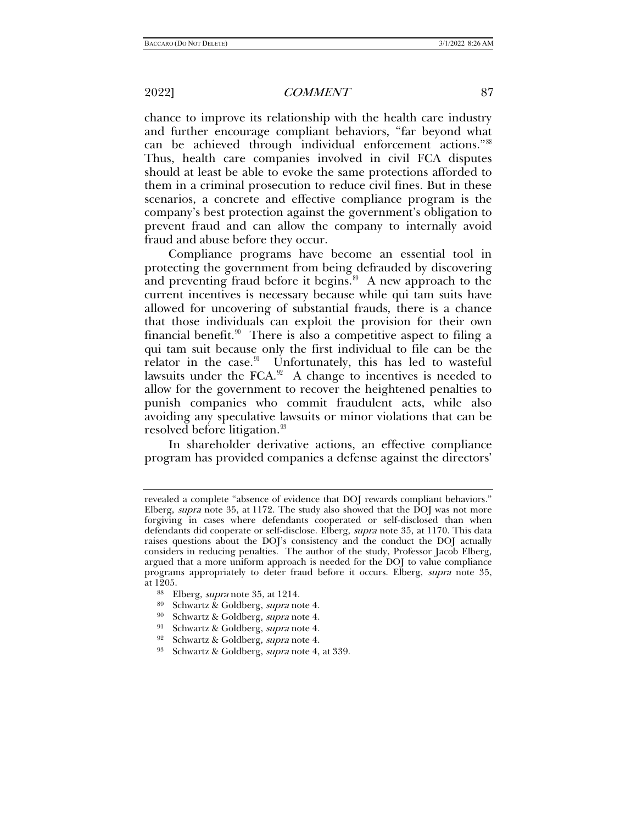chance to improve its relationship with the health care industry and further encourage compliant behaviors, "far beyond what can be achieved through individual enforcement actions."<sup>88</sup> Thus, health care companies involved in civil FCA disputes should at least be able to evoke the same protections afforded to them in a criminal prosecution to reduce civil fines. But in these scenarios, a concrete and effective compliance program is the company's best protection against the government's obligation to prevent fraud and can allow the company to internally avoid fraud and abuse before they occur.

Compliance programs have become an essential tool in protecting the government from being defrauded by discovering and preventing fraud before it begins. $89$  A new approach to the current incentives is necessary because while qui tam suits have allowed for uncovering of substantial frauds, there is a chance that those individuals can exploit the provision for their own financial benefit.<sup>[90](#page-14-2)</sup> There is also a competitive aspect to filing a qui tam suit because only the first individual to file can be the relator in the case. $91$  Unfortunately, this has led to wasteful lawsuits under the FCA. $92$  A change to incentives is needed to allow for the government to recover the heightened penalties to punish companies who commit fraudulent acts, while also avoiding any speculative lawsuits or minor violations that can be resolved before litigation.<sup>[93](#page-14-5)</sup>

In shareholder derivative actions, an effective compliance program has provided companies a defense against the directors'

revealed a complete "absence of evidence that DOJ rewards compliant behaviors." Elberg, supra note [35,](#page-6-10) at 1172. The study also showed that the DOJ was not more forgiving in cases where defendants cooperated or self-disclosed than when defendants did cooperate or self-disclose. Elberg, *supra* note [35,](#page-6-10) at 1170. This data raises questions about the DOJ's consistency and the conduct the DOJ actually considers in reducing penalties. The author of the study, Professor Jacob Elberg, argued that a more uniform approach is needed for the DOJ to value compliance programs appropriately to deter fraud before it occurs. Elberg, supra note 35, at 1205.

<span id="page-14-0"></span><sup>&</sup>lt;sup>88</sup> Elberg, *supra* note [35,](#page-6-10) at 1214.<br><sup>89</sup> Schwartz & Goldberg, *supra* note [4.](#page-1-6)<br><sup>90</sup> Schwartz & Goldberg, *supra* note 4.

<span id="page-14-3"></span><span id="page-14-2"></span><span id="page-14-1"></span>Schwartz & Goldberg, supra note [4.](#page-1-6)

<sup>91</sup> Schwartz & Goldberg, supra note [4.](#page-1-6)<br>92 Schwartz & Goldberg, supra note 4.

<span id="page-14-5"></span><span id="page-14-4"></span><sup>&</sup>lt;sup>92</sup> Schwartz & Goldberg, *supra* note [4.](#page-1-6)<br><sup>93</sup> Schwartz & Goldberg, *supra* note 4.

Schwartz & Goldberg, *supra* note [4,](#page-1-6) at 339.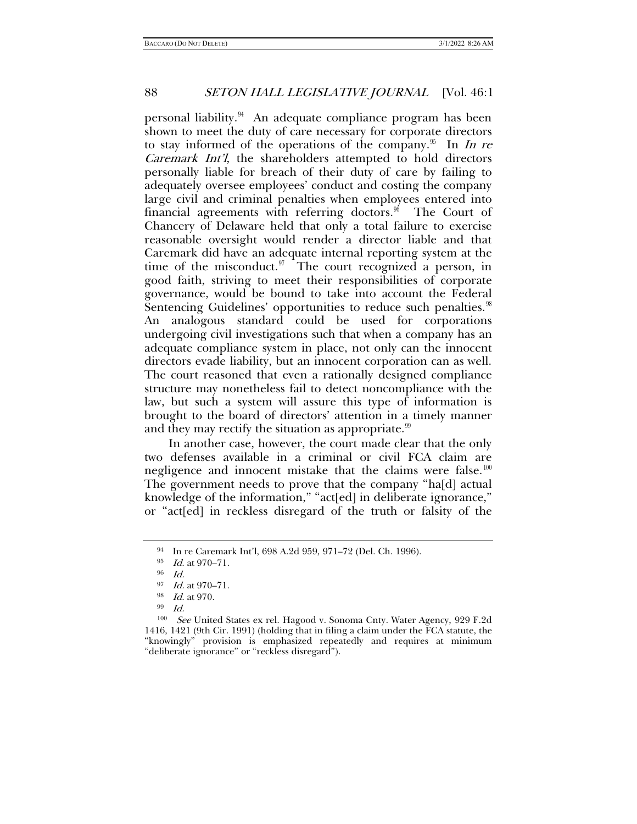personal liability.[94](#page-15-0) An adequate compliance program has been shown to meet the duty of care necessary for corporate directors to stay informed of the operations of the company.<sup>[95](#page-15-1)</sup> In In re Caremark Int'l, the shareholders attempted to hold directors personally liable for breach of their duty of care by failing to adequately oversee employees' conduct and costing the company large civil and criminal penalties when employees entered into financial agreements with referring doctors.<sup>96</sup> The Court of Chancery of Delaware held that only a total failure to exercise reasonable oversight would render a director liable and that Caremark did have an adequate internal reporting system at the time of the misconduct. $97$  The court recognized a person, in good faith, striving to meet their responsibilities of corporate governance, would be bound to take into account the Federal Sentencing Guidelines' opportunities to reduce such penalties.<sup>98</sup> An analogous standard could be used for corporations undergoing civil investigations such that when a company has an adequate compliance system in place, not only can the innocent directors evade liability, but an innocent corporation can as well. The court reasoned that even a rationally designed compliance structure may nonetheless fail to detect noncompliance with the law, but such a system will assure this type of information is brought to the board of directors' attention in a timely manner and they may rectify the situation as appropriate. $99$ 

In another case, however, the court made clear that the only two defenses available in a criminal or civil FCA claim are negligence and innocent mistake that the claims were false.<sup>100</sup> The government needs to prove that the company "ha[d] actual knowledge of the information," "act[ed] in deliberate ignorance," or "act[ed] in reckless disregard of the truth or falsity of the

<span id="page-15-0"></span><sup>94</sup> In re Caremark Int'l, 698 A.2d 959, 971–72 (Del. Ch. 1996).

 $\frac{95}{96}$  *Id.* at 970–71.

 $\frac{97}{98}$  *Id.* at 970–71.<br>  $\frac{98}{99}$  *Id.* 

<span id="page-15-6"></span><span id="page-15-5"></span><span id="page-15-4"></span><span id="page-15-3"></span><span id="page-15-2"></span><span id="page-15-1"></span><sup>100</sup> See United States ex rel. Hagood v. Sonoma Cnty. Water Agency, 929 F.2d 1416, 1421 (9th Cir. 1991) (holding that in filing a claim under the FCA statute, the "knowingly" provision is emphasized repeatedly and requires at minimum "deliberate ignorance" or "reckless disregard").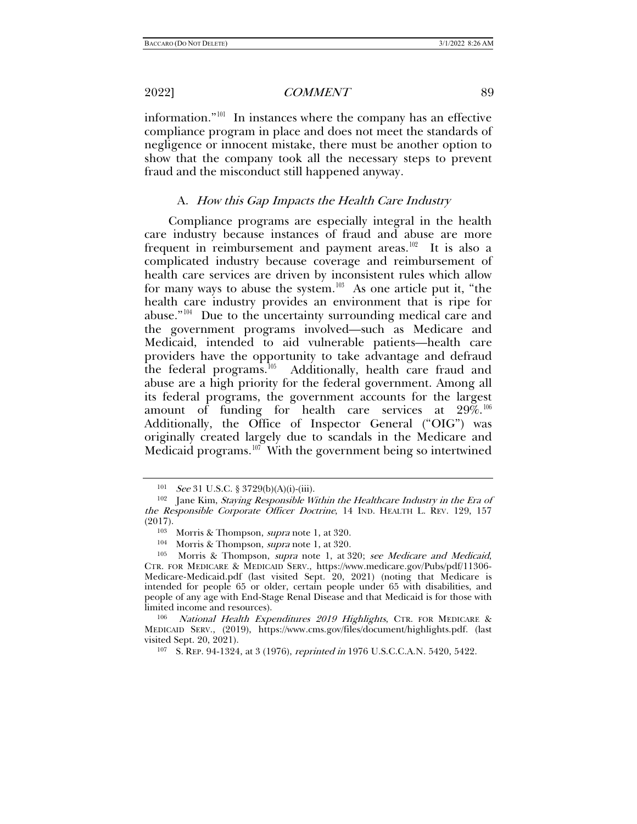information."[101](#page-16-0) In instances where the company has an effective compliance program in place and does not meet the standards of negligence or innocent mistake, there must be another option to show that the company took all the necessary steps to prevent fraud and the misconduct still happened anyway.

#### A. How this Gap Impacts the Health Care Industry

Compliance programs are especially integral in the health care industry because instances of fraud and abuse are more frequent in reimbursement and payment areas.<sup>102</sup> It is also a complicated industry because coverage and reimbursement of health care services are driven by inconsistent rules which allow for many ways to abuse the system.<sup>[103](#page-16-2)</sup> As one article put it, "the health care industry provides an environment that is ripe for abuse."<sup>104</sup> Due to the uncertainty surrounding medical care and the government programs involved—such as Medicare and Medicaid, intended to aid vulnerable patients—health care providers have the opportunity to take advantage and defraud the federal programs.<sup>105</sup> Additionally, health care fraud and abuse are a high priority for the federal government. Among all its federal programs, the government accounts for the largest amount of funding for health care services at  $29\%$ .<sup>106</sup> Additionally, the Office of Inspector General ("OIG") was originally created largely due to scandals in the Medicare and Medicaid programs.<sup>107</sup> With the government being so intertwined

<span id="page-16-7"></span>

<span id="page-16-1"></span><span id="page-16-0"></span><sup>&</sup>lt;sup>101</sup> See 31 U.S.C. § 3729(b)(A)(i)-(iii).<br><sup>102</sup> Jane Kim, *Staving Responsible Within the Healthcare Industry in the Era of* the Responsible Corporate Officer Doctrine, 14 IND. HEALTH L. REV. 129, 157 (2017).

<sup>&</sup>lt;sup>103</sup> Morris & Thompson, *supra* note [1,](#page-0-2) at 320.<br><sup>104</sup> Morris & Thompson, *supra* note 1, at 320.

<span id="page-16-4"></span><span id="page-16-3"></span><span id="page-16-2"></span><sup>&</sup>lt;sup>105</sup> Morris & Thompson, *supra* note [1,](#page-0-2) at 320; see Medicare and Medicaid, CTR. FOR MEDICARE & MEDICAID SERV., https://www.medicare.gov/Pubs/pdf/11306- Medicare-Medicaid.pdf (last visited Sept. 20, 2021) (noting that Medicare is intended for people 65 or older, certain people under 65 with disabilities, and people of any age with End-Stage Renal Disease and that Medicaid is for those with limited income and resources).<br><sup>106</sup> National Health Expenditures 2019 Highlights, CTR. FOR MEDICARE &

<span id="page-16-6"></span><span id="page-16-5"></span>MEDICAID SERV., (2019), https://www.cms.gov/files/document/highlights.pdf. (last visited Sept. 20, 2021).

<sup>107</sup> S. REP. 94-1324, at 3 (1976), reprinted in 1976 U.S.C.C.A.N. 5420, 5422.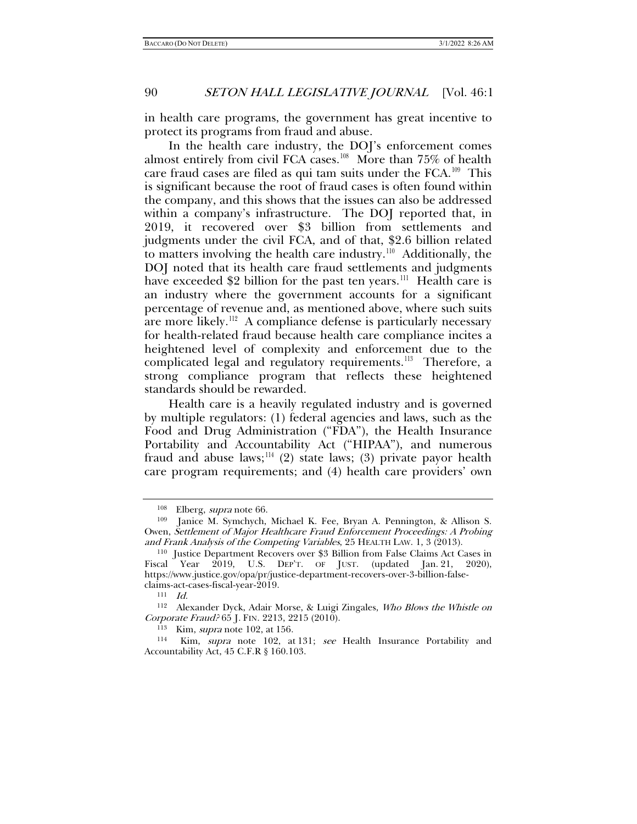in health care programs, the government has great incentive to protect its programs from fraud and abuse.

In the health care industry, the DOJ's enforcement comes almost entirely from civil FCA cases.<sup>[108](#page-17-0)</sup> More than 75% of health care fraud cases are filed as qui tam suits under the  $FCA$ <sup>109</sup> This is significant because the root of fraud cases is often found within the company, and this shows that the issues can also be addressed within a company's infrastructure. The DOJ reported that, in 2019, it recovered over \$3 billion from settlements and judgments under the civil FCA, and of that, \$2.6 billion related to matters involving the health care industry.<sup>110</sup> Additionally, the DOJ noted that its health care fraud settlements and judgments have exceeded \$2 billion for the past ten years.<sup>[111](#page-17-3)</sup> Health care is an industry where the government accounts for a significant percentage of revenue and, as mentioned above, where such suits are more likely.<sup>[112](#page-17-4)</sup> A compliance defense is particularly necessary for health-related fraud because health care compliance incites a heightened level of complexity and enforcement due to the complicated legal and regulatory requirements.<sup>[113](#page-17-5)</sup> Therefore, a strong compliance program that reflects these heightened standards should be rewarded.

Health care is a heavily regulated industry and is governed by multiple regulators: (1) federal agencies and laws, such as the Food and Drug Administration ("FDA"), the Health Insurance Portability and Accountability Act ("HIPAA"), and numerous fraud and abuse laws;<sup>[114](#page-17-6)</sup> (2) state laws; (3) private payor health care program requirements; and (4) health care providers' own

 $\frac{108}{109}$  Elberg, *supra* note [66.](#page-10-9)<br>
109 Ianice M. Symchych.

<span id="page-17-1"></span><span id="page-17-0"></span>Janice M. Symchych, Michael K. Fee, Bryan A. Pennington, & Allison S. Owen, Settlement of Major Healthcare Fraud Enforcement Proceedings: A Probing and Frank Analysis of the Competing Variables, 25 HEALTH LAW. 1, 3 (2013).<br><sup>110</sup> Justice Department Recovers over \$3 Billion from False Claims Act Cases in

<span id="page-17-2"></span>Fiscal Year 2019, U.S. DEP'T. OF JUST. (updated Jan. 21, 2020), https://www.justice.gov/opa/pr/justice-department-recovers-over-3-billion-falseclaims-act-cases-fiscal-year-2019.<br> $\frac{111}{Id}$ 

<span id="page-17-4"></span><span id="page-17-3"></span><sup>112</sup> Alexander Dyck, Adair Morse, & Luigi Zingales, Who Blows the Whistle on Corporate Fraud? 65 J. FIN. 2213, 2215 (2010).

<span id="page-17-6"></span><span id="page-17-5"></span><sup>&</sup>lt;sup>113</sup> Kim, *supra* note [102,](#page-16-7) at 156. 114 Kim, *supra* note 102, at 131; *see* Health Insurance Portability and Accountability Act, 45 C.F.R § 160.103.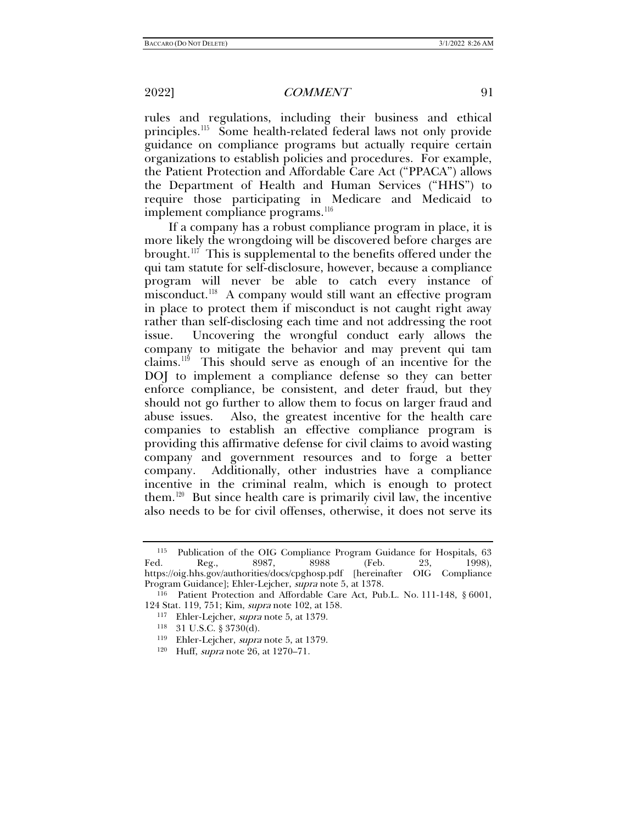<span id="page-18-6"></span>rules and regulations, including their business and ethical principles.[115](#page-18-0) Some health-related federal laws not only provide guidance on compliance programs but actually require certain organizations to establish policies and procedures. For example, the Patient Protection and Affordable Care Act ("PPACA") allows the Department of Health and Human Services ("HHS") to require those participating in Medicare and Medicaid to implement compliance programs.<sup>[116](#page-18-1)</sup>

If a company has a robust compliance program in place, it is more likely the wrongdoing will be discovered before charges are brought.<sup>117</sup> This is supplemental to the benefits offered under the qui tam statute for self-disclosure, however, because a compliance program will never be able to catch every instance of misconduct.<sup>[118](#page-18-3)</sup> A company would still want an effective program in place to protect them if misconduct is not caught right away rather than self-disclosing each time and not addressing the root issue. Uncovering the wrongful conduct early allows the company to mitigate the behavior and may prevent qui tam claims.[119](#page-18-4) This should serve as enough of an incentive for the DOJ to implement a compliance defense so they can better enforce compliance, be consistent, and deter fraud, but they should not go further to allow them to focus on larger fraud and abuse issues. Also, the greatest incentive for the health care companies to establish an effective compliance program is providing this affirmative defense for civil claims to avoid wasting company and government resources and to forge a better company. Additionally, other industries have a compliance incentive in the criminal realm, which is enough to protect them.<sup>[120](#page-18-5)</sup> But since health care is primarily civil law, the incentive also needs to be for civil offenses, otherwise, it does not serve its

- 
- <sup>119</sup> Ehler-Lejcher, *supra* note [5,](#page-1-7) at 1379.
- <sup>120</sup> Huff, supra not[e 26,](#page-4-6) at 1270–71.

<span id="page-18-0"></span><sup>115</sup> Publication of the OIG Compliance Program Guidance for Hospitals, 63 Fed. Reg., 8987, 8988 (Feb. 23, 1998), https://oig.hhs.gov/authorities/docs/cpghosp.pdf [hereinafter OIG Compliance Program Guidance]; Ehler-Lejcher, *supra* not[e 5,](#page-1-7) at 1378.<br><sup>116</sup> Patient Protection and Affordable Care Act, Pub.L. No. 111-148, § 6001,

<span id="page-18-5"></span><span id="page-18-4"></span><span id="page-18-3"></span><span id="page-18-2"></span><span id="page-18-1"></span><sup>124</sup> Stat. 119, 751; Kim, supra not[e 102,](#page-16-7) at 158.

<sup>&</sup>lt;sup>117</sup> Ehler-Lejcher, *supra* note [5,](#page-1-7) at 1379.<br><sup>118</sup> 31 U.S.C. § 3730(d).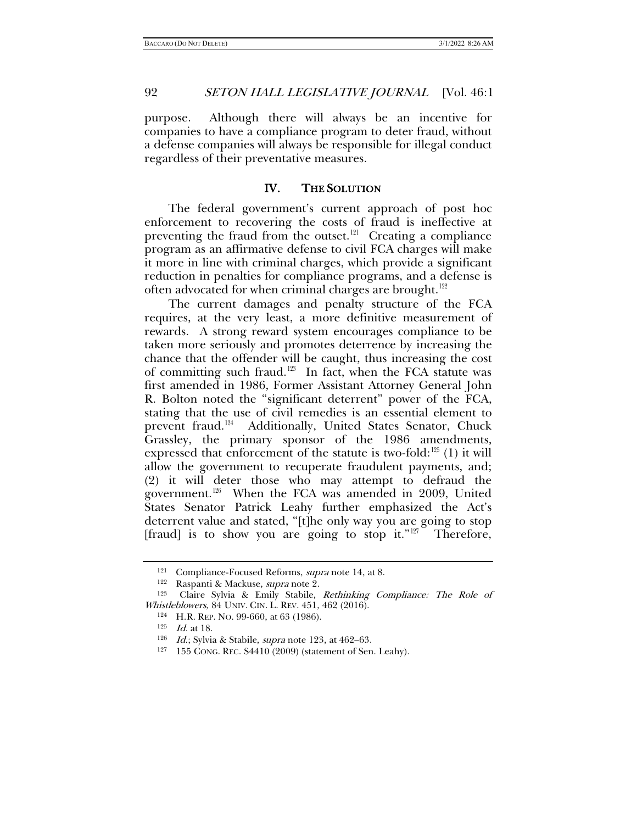purpose. Although there will always be an incentive for companies to have a compliance program to deter fraud, without a defense companies will always be responsible for illegal conduct regardless of their preventative measures.

#### IV. THE SOLUTION

The federal government's current approach of post hoc enforcement to recovering the costs of fraud is ineffective at preventing the fraud from the outset. $121$  Creating a compliance program as an affirmative defense to civil FCA charges will make it more in line with criminal charges, which provide a significant reduction in penalties for compliance programs, and a defense is often advocated for when criminal charges are brought.<sup>[122](#page-19-2)</sup>

<span id="page-19-0"></span>The current damages and penalty structure of the FCA requires, at the very least, a more definitive measurement of rewards. A strong reward system encourages compliance to be taken more seriously and promotes deterrence by increasing the chance that the offender will be caught, thus increasing the cost of committing such fraud.<sup>[123](#page-19-3)</sup> In fact, when the FCA statute was first amended in 1986, Former Assistant Attorney General John R. Bolton noted the "significant deterrent" power of the FCA, stating that the use of civil remedies is an essential element to prevent fraud.<sup>[124](#page-19-4)</sup> Additionally, United States Senator, Chuck Grassley, the primary sponsor of the 1986 amendments, expressed that enforcement of the statute is two-fold: $^{125}$  $^{125}$  $^{125}$  (1) it will allow the government to recuperate fraudulent payments, and; (2) it will deter those who may attempt to defraud the government.<sup>[126](#page-19-6)</sup> When the FCA was amended in 2009, United States Senator Patrick Leahy further emphasized the Act's deterrent value and stated, "[t]he only way you are going to stop [fraud] is to show you are going to stop it."<sup>[127](#page-19-7)</sup> Therefore,

<sup>&</sup>lt;sup>121</sup> Compliance-Focused Reforms, *supra* not[e 14,](#page-3-0) at 8.<br><sup>122</sup> Raspanti & Mackuse, *supra* note 2.

<span id="page-19-7"></span><span id="page-19-6"></span><span id="page-19-5"></span><span id="page-19-4"></span><span id="page-19-3"></span><span id="page-19-2"></span><span id="page-19-1"></span><sup>123</sup> Claire Sylvia & Emily Stabile, Rethinking Compliance: The Role of *Whistleblowers*, 84 UNIV. CIN. L. REV. 451, 462 (2016).<br><sup>124</sup> H.R. REP. NO. 99-660, at 63 (1986).<br><sup>125</sup> Id. at 18. 126 Id.; Sylvia & Stabile, *supra* note [123,](#page-19-0) at 462–63.<br><sup>127</sup> 155 CONG. REC. S4410 (2009) (statement of S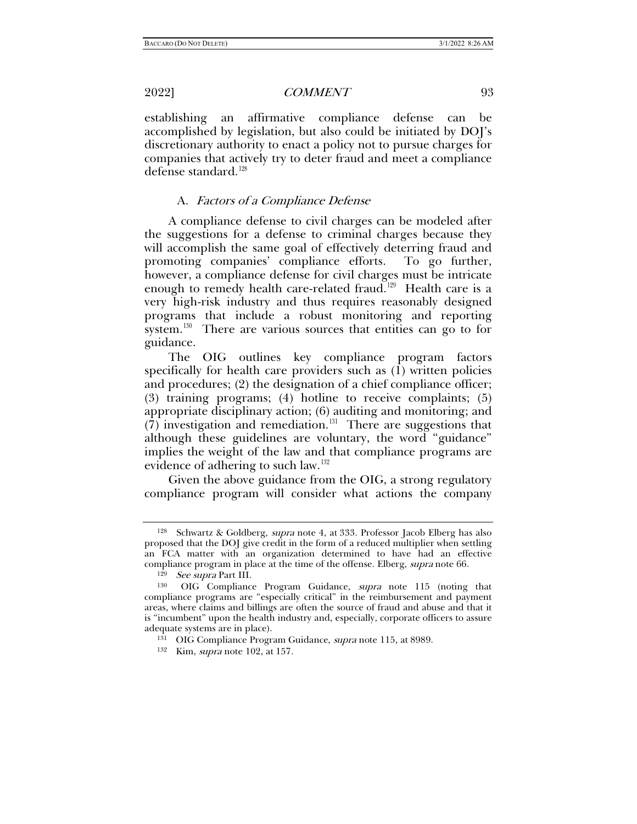establishing an affirmative compliance defense can be accomplished by legislation, but also could be initiated by DOJ's discretionary authority to enact a policy not to pursue charges for companies that actively try to deter fraud and meet a compliance defense standard.<sup>128</sup>

#### A. Factors of a Compliance Defense

A compliance defense to civil charges can be modeled after the suggestions for a defense to criminal charges because they will accomplish the same goal of effectively deterring fraud and promoting companies' compliance efforts. To go further, however, a compliance defense for civil charges must be intricate enough to remedy health care-related fraud.<sup>129</sup> Health care is a very high-risk industry and thus requires reasonably designed programs that include a robust monitoring and reporting system.<sup>130</sup> There are various sources that entities can go to for guidance.

The OIG outlines key compliance program factors specifically for health care providers such as (1) written policies and procedures; (2) the designation of a chief compliance officer; (3) training programs; (4) hotline to receive complaints; (5) appropriate disciplinary action; (6) auditing and monitoring; and  $(7)$  investigation and remediation.<sup>131</sup> There are suggestions that although these guidelines are voluntary, the word "guidance" implies the weight of the law and that compliance programs are evidence of adhering to such law.<sup>[132](#page-20-4)</sup>

Given the above guidance from the OIG, a strong regulatory compliance program will consider what actions the company

<span id="page-20-0"></span><sup>128</sup> Schwartz & Goldberg, supra note [4,](#page-1-6) at 333. Professor Jacob Elberg has also proposed that the DOJ give credit in the form of a reduced multiplier when settling an FCA matter with an organization determined to have had an effective compliance program in place at the time of the offense. Elberg, *supra* note [66.](#page-10-9)<br><sup>129</sup> See supra Part III. <sup>130</sup> OIG Compliance Program Guidance, *supra* note [115](#page-18-6) (noting that

<span id="page-20-3"></span><span id="page-20-2"></span><span id="page-20-1"></span>compliance programs are "especially critical" in the reimbursement and payment areas, where claims and billings are often the source of fraud and abuse and that it is "incumbent" upon the health industry and, especially, corporate officers to assure adequate systems are in place).

<sup>&</sup>lt;sup>131</sup> OIG Compliance Program Guidance, *supra* note [115,](#page-18-6) at 8989.

<span id="page-20-4"></span><sup>132</sup> Kim, supra note [102,](#page-16-7) at 157.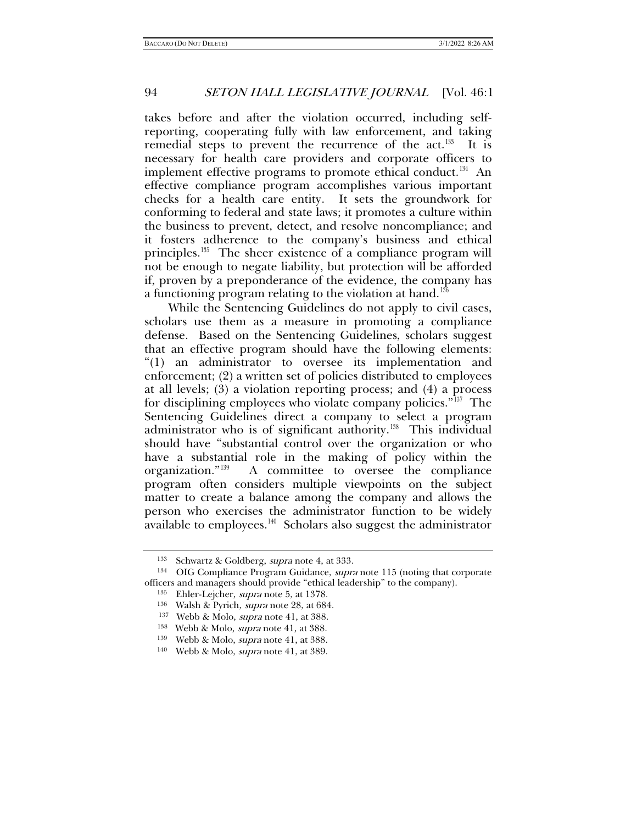takes before and after the violation occurred, including selfreporting, cooperating fully with law enforcement, and taking remedial steps to prevent the recurrence of the act.<sup>[133](#page-21-0)</sup> It is necessary for health care providers and corporate officers to implement effective programs to promote ethical conduct.<sup>[134](#page-21-1)</sup> An effective compliance program accomplishes various important checks for a health care entity. It sets the groundwork for conforming to federal and state laws; it promotes a culture within the business to prevent, detect, and resolve noncompliance; and it fosters adherence to the company's business and ethical principles.<sup>[135](#page-21-2)</sup> The sheer existence of a compliance program will not be enough to negate liability, but protection will be afforded if, proven by a preponderance of the evidence, the company has a functioning program relating to the violation at hand.<sup>[136](#page-21-3)</sup>

While the Sentencing Guidelines do not apply to civil cases, scholars use them as a measure in promoting a compliance defense. Based on the Sentencing Guidelines, scholars suggest that an effective program should have the following elements: "(1) an administrator to oversee its implementation and enforcement; (2) a written set of policies distributed to employees at all levels; (3) a violation reporting process; and (4) a process for disciplining employees who violate company policies."<sup>137</sup> The Sentencing Guidelines direct a company to select a program administrator who is of significant authority.<sup>[138](#page-21-5)</sup> This individual should have "substantial control over the organization or who have a substantial role in the making of policy within the organization."[139](#page-21-6) A committee to oversee the compliance program often considers multiple viewpoints on the subject matter to create a balance among the company and allows the person who exercises the administrator function to be widely  $a$ vailable to employees.<sup>140</sup> Scholars also suggest the administrator

<span id="page-21-4"></span><span id="page-21-3"></span><span id="page-21-2"></span><span id="page-21-1"></span><span id="page-21-0"></span><sup>&</sup>lt;sup>133</sup> Schwartz & Goldberg, *supra* note 4, at 333.<br><sup>134</sup> OIG Compliance Program Guidance, *supra* note [115](#page-18-6) (noting that corporate officers and managers should provide "ethical leadership" to the company).

<sup>&</sup>lt;sup>135</sup> Ehler-Lejcher, *supra* note [5,](#page-1-7) at 1378.<br><sup>136</sup> Walsh & Pyrich, *supra* note [28,](#page-5-6) at 684.<br><sup>137</sup> Webb & Molo, *supra* note 41, at 388.

<sup>&</sup>lt;sup>138</sup> Webb & Molo, *supra* note 41, at 388.

<span id="page-21-6"></span><span id="page-21-5"></span><sup>139</sup> Webb & Molo, supra note [41,](#page-6-11) at 388.

<span id="page-21-7"></span><sup>140</sup> Webb & Molo, supra note [41,](#page-6-11) at 389.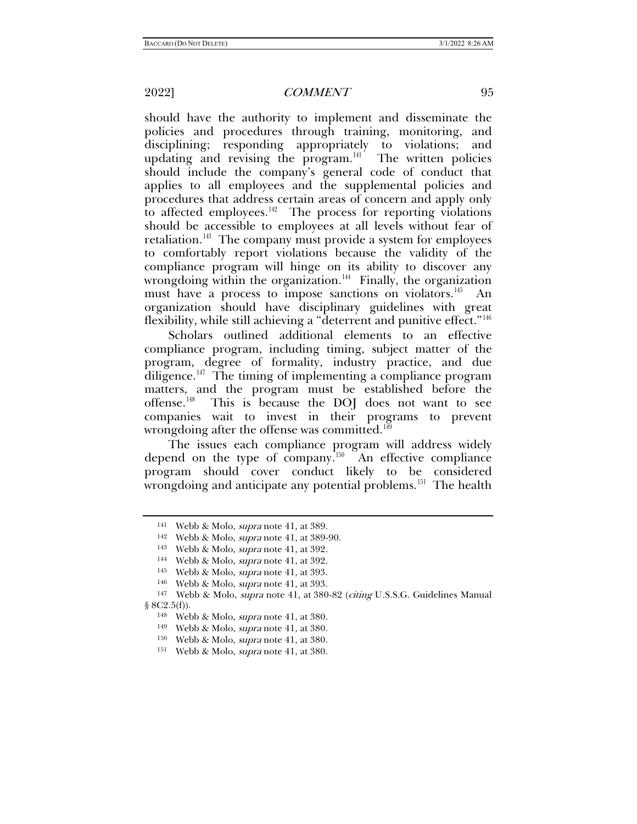should have the authority to implement and disseminate the policies and procedures through training, monitoring, and disciplining; responding appropriately to violations; and updating and revising the program.<sup>141</sup> The written policies should include the company's general code of conduct that applies to all employees and the supplemental policies and procedures that address certain areas of concern and apply only to affected employees.<sup> $142$ </sup> The process for reporting violations should be accessible to employees at all levels without fear of retaliation.<sup>[143](#page-22-2)</sup> The company must provide a system for employees to comfortably report violations because the validity of the compliance program will hinge on its ability to discover any wrongdoing within the organization.<sup> $144$ </sup> Finally, the organization must have a process to impose sanctions on violators.<sup>145</sup> An organization should have disciplinary guidelines with great flexibility, while still achieving a "deterrent and punitive effect."[146](#page-22-5)

Scholars outlined additional elements to an effective compliance program, including timing, subject matter of the program, degree of formality, industry practice, and due diligence.<sup> $147$ </sup> The timing of implementing a compliance program matters, and the program must be established before the offense.[148](#page-22-7) This is because the DOJ does not want to see companies wait to invest in their programs to prevent wrongdoing after the offense was committed.<sup>[149](#page-22-8)</sup>

The issues each compliance program will address widely depend on the type of company.<sup>[150](#page-22-9)</sup> An effective compliance program should cover conduct likely to be considered wrongdoing and anticipate any potential problems.<sup>151</sup> The health

<span id="page-22-0"></span><sup>141</sup> Webb & Molo, supra note [41,](#page-6-11) at 389.

<sup>&</sup>lt;sup>142</sup> Webb & Molo, *supra* note [41,](#page-6-11) at 389-90.

<sup>143</sup> Webb & Molo, supra note [41,](#page-6-11) at 392.

<sup>144</sup> Webb & Molo, supra note [41,](#page-6-11) at 392.

<sup>145</sup> Webb & Molo, supra note [41,](#page-6-11) at 393.

<sup>146</sup> Webb & Molo, supra note [41,](#page-6-11) at 393.

<span id="page-22-10"></span><span id="page-22-9"></span><span id="page-22-8"></span><span id="page-22-7"></span><span id="page-22-6"></span><span id="page-22-5"></span><span id="page-22-4"></span><span id="page-22-3"></span><span id="page-22-2"></span><span id="page-22-1"></span><sup>147</sup> Webb & Molo, supra note [41,](#page-6-11) at 380-82 (citing U.S.S.G. Guidelines Manual  $§ 8C2.5(f).$ 

<sup>&</sup>lt;sup>148</sup> Webb & Molo, *supra* note [41,](#page-6-11) at 380.<br><sup>149</sup> Webb & Molo, *supra* note 41, at 380.

<sup>150</sup> Webb & Molo, supra note [41,](#page-6-11) at 380.

<sup>151</sup> Webb & Molo, supra note [41,](#page-6-11) at 380.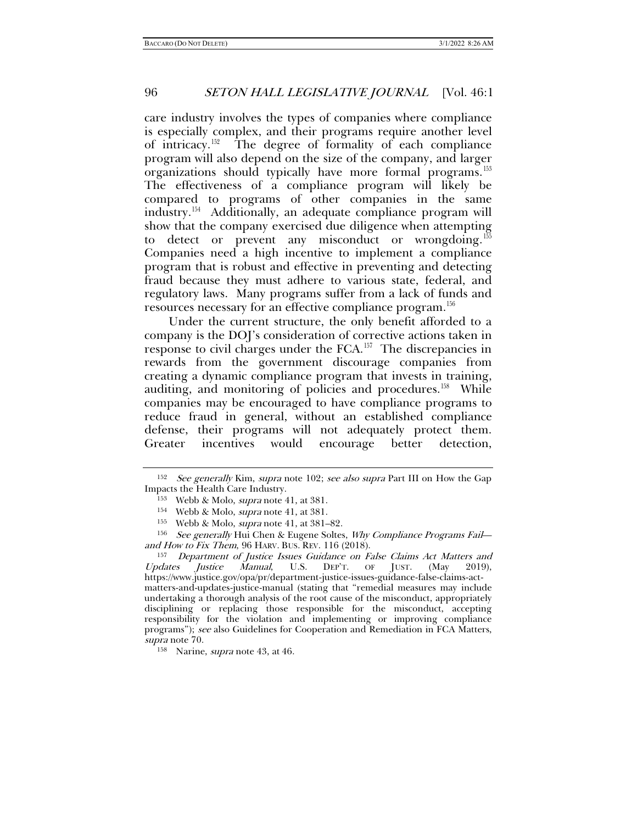care industry involves the types of companies where compliance is especially complex, and their programs require another level of intricacy.[152](#page-23-0) The degree of formality of each compliance program will also depend on the size of the company, and larger organizations should typically have more formal programs.<sup>153</sup> The effectiveness of a compliance program will likely be compared to programs of other companies in the same industry.[154](#page-23-2) Additionally, an adequate compliance program will show that the company exercised due diligence when attempting to detect or prevent any misconduct or wrongdoing.<sup>155</sup> Companies need a high incentive to implement a compliance program that is robust and effective in preventing and detecting fraud because they must adhere to various state, federal, and regulatory laws. Many programs suffer from a lack of funds and resources necessary for an effective compliance program.<sup>156</sup>

Under the current structure, the only benefit afforded to a company is the DOJ's consideration of corrective actions taken in response to civil charges under the FCA.[157](#page-23-5) The discrepancies in rewards from the government discourage companies from creating a dynamic compliance program that invests in training, auditing, and monitoring of policies and procedures.<sup>[158](#page-23-6)</sup> While companies may be encouraged to have compliance programs to reduce fraud in general, without an established compliance defense, their programs will not adequately protect them. Greater incentives would encourage better detection,

<span id="page-23-0"></span> $152$  See generally Kim, supra note [102;](#page-16-7) see also supra Part III on How the Gap

<span id="page-23-2"></span><span id="page-23-1"></span>Impacts the Health Care Industry.<br>
<sup>153</sup> Webb & Molo, *supra* note [41,](#page-6-11) at 381.<br>
<sup>154</sup> Webb & Molo, *supra* note 41, at 381.<br>
<sup>155</sup> Webb & Molo, *supra* note 41, at 381–82.<br>
<sup>156</sup> See generally Hui Chen & Eugene Soltes, *Wh* and How to Fix Them, 96 HARV. BUS. REV. 116 (2018).

<span id="page-23-5"></span><span id="page-23-4"></span><span id="page-23-3"></span><sup>157</sup> Department of Justice Issues Guidance on False Claims Act Matters and Updates Justice Manual, U.S. DEP'T. OF JUST. (May 2019), https://www.justice.gov/opa/pr/department-justice-issues-guidance-false-claims-actmatters-and-updates-justice-manual (stating that "remedial measures may include undertaking a thorough analysis of the root cause of the misconduct, appropriately disciplining or replacing those responsible for the misconduct, accepting responsibility for the violation and implementing or improving compliance programs"); see also Guidelines for Cooperation and Remediation in FCA Matters, supra note 70.

<span id="page-23-6"></span><sup>&</sup>lt;sup>158</sup> Narine, *supra* note [43,](#page-7-5) at 46.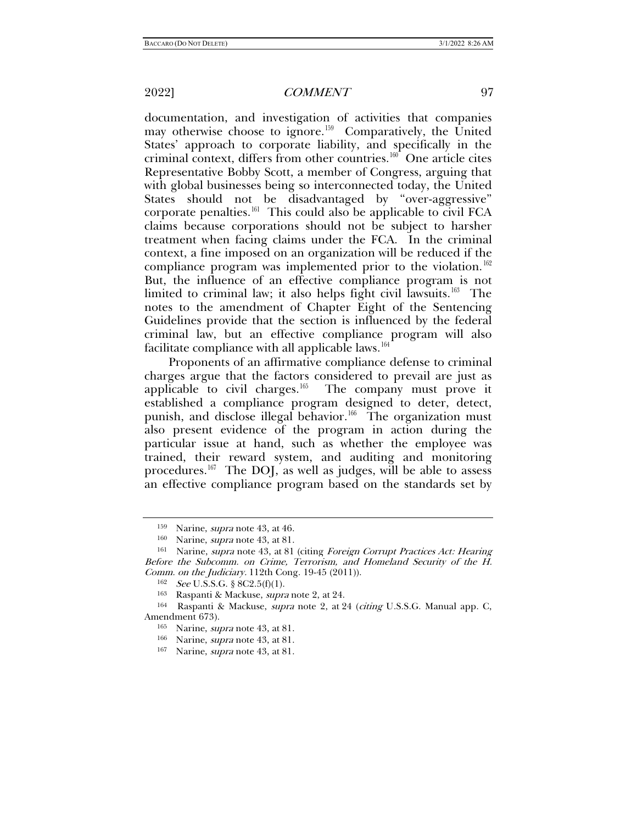documentation, and investigation of activities that companies may otherwise choose to ignore.<sup>159</sup> Comparatively, the United States' approach to corporate liability, and specifically in the criminal context, differs from other countries.<sup>[160](#page-24-1)</sup> One article cites Representative Bobby Scott, a member of Congress, arguing that with global businesses being so interconnected today, the United States should not be disadvantaged by "over-aggressive" corporate penalties.[161](#page-24-2) This could also be applicable to civil FCA claims because corporations should not be subject to harsher treatment when facing claims under the FCA. In the criminal context, a fine imposed on an organization will be reduced if the compliance program was implemented prior to the violation.<sup>162</sup> But, the influence of an effective compliance program is not limited to criminal law; it also helps fight civil lawsuits.<sup>163</sup> The notes to the amendment of Chapter Eight of the Sentencing Guidelines provide that the section is influenced by the federal criminal law, but an effective compliance program will also facilitate compliance with all applicable laws.<sup>[164](#page-24-5)</sup>

Proponents of an affirmative compliance defense to criminal charges argue that the factors considered to prevail are just as applicable to civil charges.<sup>165</sup> The company must prove it established a compliance program designed to deter, detect, punish, and disclose illegal behavior.<sup>166</sup> The organization must also present evidence of the program in action during the particular issue at hand, such as whether the employee was trained, their reward system, and auditing and monitoring procedures.[167](#page-24-8) The DOJ, as well as judges, will be able to assess an effective compliance program based on the standards set by

<span id="page-24-2"></span><span id="page-24-1"></span><span id="page-24-0"></span><sup>&</sup>lt;sup>159</sup> Narine, *supra* note [43,](#page-7-5) at 46.<br><sup>160</sup> Narine, *supra* note [43,](#page-7-5) at 81. 161 Narine, supra note 43, at 81 (citing Foreign Corrupt Practices Act: Hearing Before the Subcomm. on Crime, Terrorism, and Homeland Security of the H. *Comm. on the Judiciary.* 112th Cong. 19-45 (2011)).  ${}^{162}$  *See* U.S.S.G. § 8C2.5(f)(1).

<sup>163</sup> Raspanti & Mackuse, supra note [2,](#page-0-4) at 24.

<span id="page-24-8"></span><span id="page-24-7"></span><span id="page-24-6"></span><span id="page-24-5"></span><span id="page-24-4"></span><span id="page-24-3"></span><sup>&</sup>lt;sup>164</sup> Raspanti & Mackuse, *supra* note [2,](#page-0-3) at 24 (citing U.S.S.G. Manual app. C, Amendment 673).<br><sup>165</sup> Narine, *supra* note [43,](#page-7-5) at 81.

<sup>166</sup> Narine, supra note [43,](#page-7-5) at 81.

<sup>167</sup> Narine, supra note [43,](#page-7-5) at 81.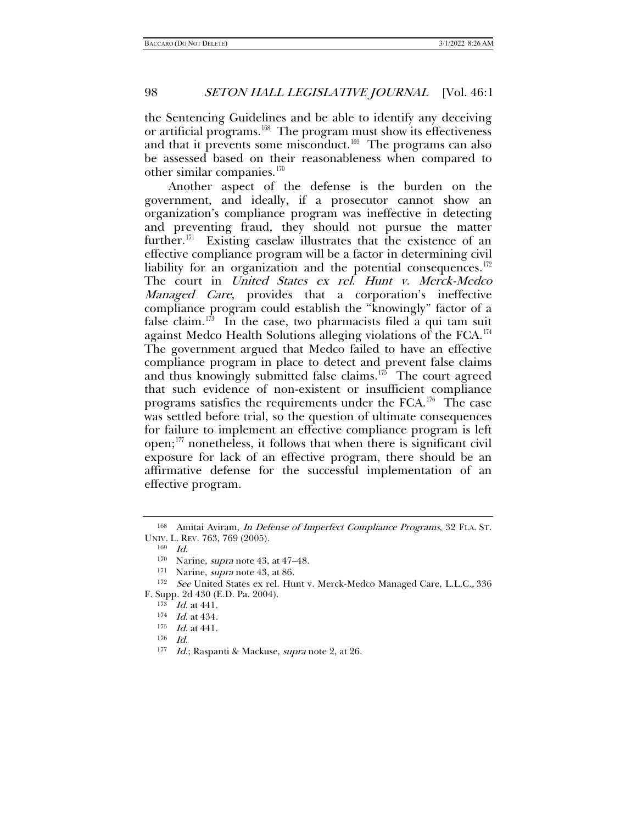<span id="page-25-10"></span>the Sentencing Guidelines and be able to identify any deceiving or artificial programs.<sup>168</sup> The program must show its effectiveness and that it prevents some misconduct.<sup>[169](#page-25-1)</sup> The programs can also be assessed based on their reasonableness when compared to other similar companies. $170$ 

Another aspect of the defense is the burden on the government, and ideally, if a prosecutor cannot show an organization's compliance program was ineffective in detecting and preventing fraud, they should not pursue the matter further.<sup>171</sup> Existing caselaw illustrates that the existence of an effective compliance program will be a factor in determining civil liability for an organization and the potential consequences. $172$ The court in United States ex rel. Hunt v. Merck-Medco Managed Care, provides that a corporation's ineffective compliance program could establish the "knowingly" factor of a false claim.<sup>173</sup> In the case, two pharmacists filed a qui tam suit against Medco Health Solutions alleging violations of the FCA.<sup>174</sup> The government argued that Medco failed to have an effective compliance program in place to detect and prevent false claims and thus knowingly submitted false claims.<sup>[175](#page-25-7)</sup> The court agreed that such evidence of non-existent or insufficient compliance programs satisfies the requirements under the  $FCA$ .<sup>[176](#page-25-8)</sup> The case was settled before trial, so the question of ultimate consequences for failure to implement an effective compliance program is left open;[177](#page-25-9) nonetheless, it follows that when there is significant civil exposure for lack of an effective program, there should be an affirmative defense for the successful implementation of an effective program.

<span id="page-25-1"></span><span id="page-25-0"></span><sup>168</sup> Amitai Aviram, In Defense of Imperfect Compliance Programs, 32 FLA. ST. UNIV. L. REV. 763, 769 (2005).

<sup>169</sup> Id.

<sup>170</sup> Narine, *supra* note [43,](#page-7-5) at 47-48.

<sup>&</sup>lt;sup>171</sup> Narine, *supra* note [43,](#page-7-5) at 86.

<span id="page-25-8"></span><span id="page-25-7"></span><span id="page-25-6"></span><span id="page-25-5"></span><span id="page-25-4"></span><span id="page-25-3"></span><span id="page-25-2"></span><sup>&</sup>lt;sup>172</sup> See United States ex rel. Hunt v. Merck-Medco Managed Care, L.L.C., 336 F. Supp. 2d 430 (E.D. Pa. 2004).

 $173$  Id. at 441.

 $174$  *Id.* at 434.

 $175$  *Id.* at 441.

<sup>176</sup> Id.

<span id="page-25-9"></span><sup>177</sup> Id.; Raspanti & Mackuse, *supra* not[e 2,](#page-0-3) at 26.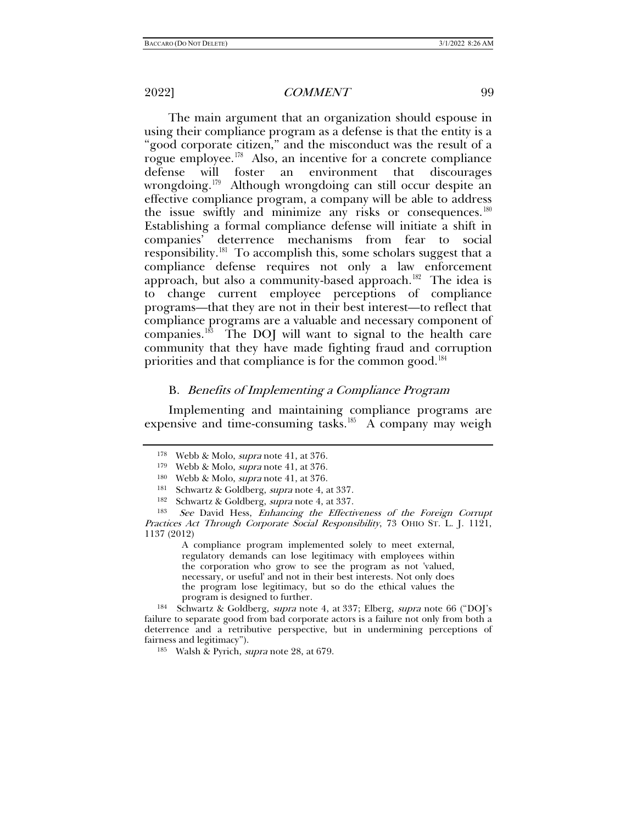The main argument that an organization should espouse in using their compliance program as a defense is that the entity is a "good corporate citizen," and the misconduct was the result of a rogue employee.<sup>178</sup> Also, an incentive for a concrete compliance defense will foster an environment that discourages wrongdoing.<sup>[179](#page-26-1)</sup> Although wrongdoing can still occur despite an effective compliance program, a company will be able to address the issue swiftly and minimize any risks or consequences.<sup>180</sup> Establishing a formal compliance defense will initiate a shift in companies' deterrence mechanisms from fear to social responsibility.<sup>181</sup> To accomplish this, some scholars suggest that a compliance defense requires not only a law enforcement approach, but also a community-based approach.<sup>182</sup> The idea is to change current employee perceptions of compliance programs—that they are not in their best interest—to reflect that compliance programs are a valuable and necessary component of companies. [183](#page-26-5) The DOJ will want to signal to the health care community that they have made fighting fraud and corruption priorities and that compliance is for the common good.<sup>[184](#page-26-6)</sup>

#### B. Benefits of Implementing a Compliance Program

<span id="page-26-0"></span>Implementing and maintaining compliance programs are expensive and time-consuming tasks.<sup>[185](#page-26-7)</sup> A company may weigh

A compliance program implemented solely to meet external, regulatory demands can lose legitimacy with employees within the corporation who grow to see the program as not 'valued, necessary, or useful' and not in their best interests. Not only does the program lose legitimacy, but so do the ethical values the program is designed to further.

<span id="page-26-7"></span><span id="page-26-6"></span><sup>184</sup> Schwartz & Goldberg, supra note [4,](#page-1-6) at 337; Elberg, supra note [66](#page-10-9) ("DOJ's failure to separate good from bad corporate actors is a failure not only from both a deterrence and a retributive perspective, but in undermining perceptions of fairness and legitimacy").

185 Walsh & Pyrich, *supra* note [28,](#page-5-6) at 679.

<sup>178</sup> Webb & Molo, supra note [41,](#page-6-11) at 376.

<sup>&</sup>lt;sup>179</sup> Webb & Molo, *supra* note [41,](#page-6-11) at 376.

<sup>180</sup> Webb & Molo, supra note [41,](#page-6-11) at 376.

<sup>&</sup>lt;sup>181</sup> Schwartz & Goldberg, *supra* not[e 4,](#page-1-6) at 337.<br><sup>182</sup> Schwartz & Goldberg, *supra* note 4, at 337.

<span id="page-26-5"></span><span id="page-26-4"></span><span id="page-26-3"></span><span id="page-26-2"></span><span id="page-26-1"></span><sup>&</sup>lt;sup>183</sup> See David Hess, Enhancing the Effectiveness of the Foreign Corrupt Practices Act Through Corporate Social Responsibility, 73 OHIO ST. L. J. 1121, 1137 (2012)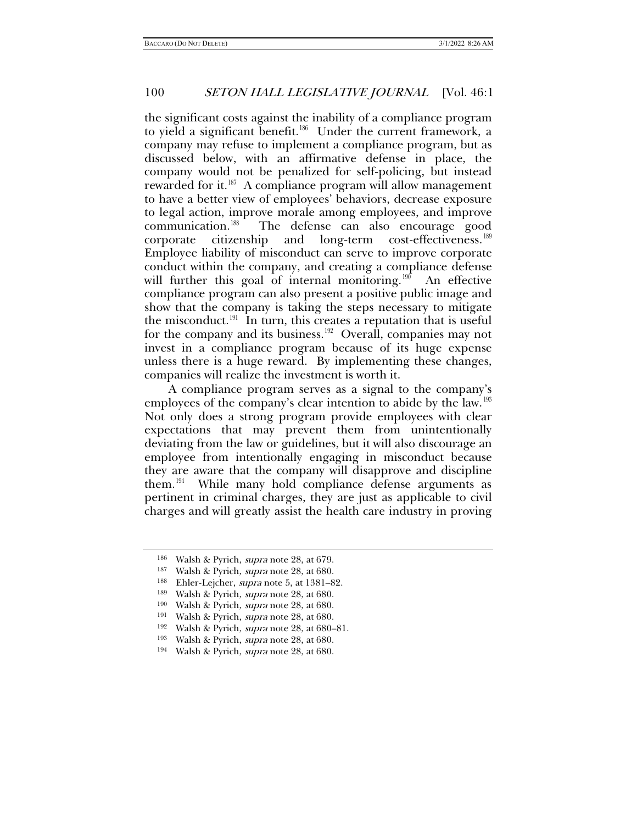the significant costs against the inability of a compliance program to yield a significant benefit.<sup>[186](#page-27-0)</sup> Under the current framework, a company may refuse to implement a compliance program, but as discussed below, with an affirmative defense in place, the company would not be penalized for self-policing, but instead rewarded for it.<sup>187</sup> A compliance program will allow management to have a better view of employees' behaviors, decrease exposure to legal action, improve morale among employees, and improve communication.[188](#page-27-2) The defense can also encourage good corporate citizenship and long-term cost-effectiveness.[189](#page-27-3)  Employee liability of misconduct can serve to improve corporate conduct within the company, and creating a compliance defense will further this goal of internal monitoring.<sup>[190](#page-27-4)</sup> An effective compliance program can also present a positive public image and show that the company is taking the steps necessary to mitigate the misconduct.<sup>191</sup> In turn, this creates a reputation that is useful for the company and its business.<sup>[192](#page-27-6)</sup> Overall, companies may not invest in a compliance program because of its huge expense unless there is a huge reward. By implementing these changes, companies will realize the investment is worth it.

A compliance program serves as a signal to the company's employees of the company's clear intention to abide by the law.<sup>193</sup> Not only does a strong program provide employees with clear expectations that may prevent them from unintentionally deviating from the law or guidelines, but it will also discourage an employee from intentionally engaging in misconduct because they are aware that the company will disapprove and discipline them.<sup>[194](#page-27-8)</sup> While many hold compliance defense arguments as pertinent in criminal charges, they are just as applicable to civil charges and will greatly assist the health care industry in proving

<span id="page-27-0"></span><sup>&</sup>lt;sup>186</sup> Walsh & Pyrich, *supra* note [28,](#page-5-6) at 679.<br><sup>187</sup> Walsh & Pyrich, *supra* note 28, at 680.

<span id="page-27-3"></span><span id="page-27-2"></span><span id="page-27-1"></span><sup>&</sup>lt;sup>188</sup> Ehler-Lejcher, *supra* note 5, at 1381–82.<br><sup>189</sup> Walsh & Pyrich, *supra* note [28,](#page-5-6) at 680.

<span id="page-27-4"></span><sup>&</sup>lt;sup>190</sup> Walsh & Pyrich, *supra* note [28,](#page-5-6) at 680.<br><sup>191</sup> Walsh & Pyrich, *supra* note 28, at 680.

<span id="page-27-6"></span><span id="page-27-5"></span><sup>192</sup> Walsh & Pyrich, supra note [28,](#page-5-6) at 680–81.

<span id="page-27-7"></span><sup>193</sup> Walsh & Pyrich, supra note [28,](#page-5-6) at 680.

<span id="page-27-8"></span><sup>194</sup> Walsh & Pyrich, supra note [28,](#page-5-6) at 680.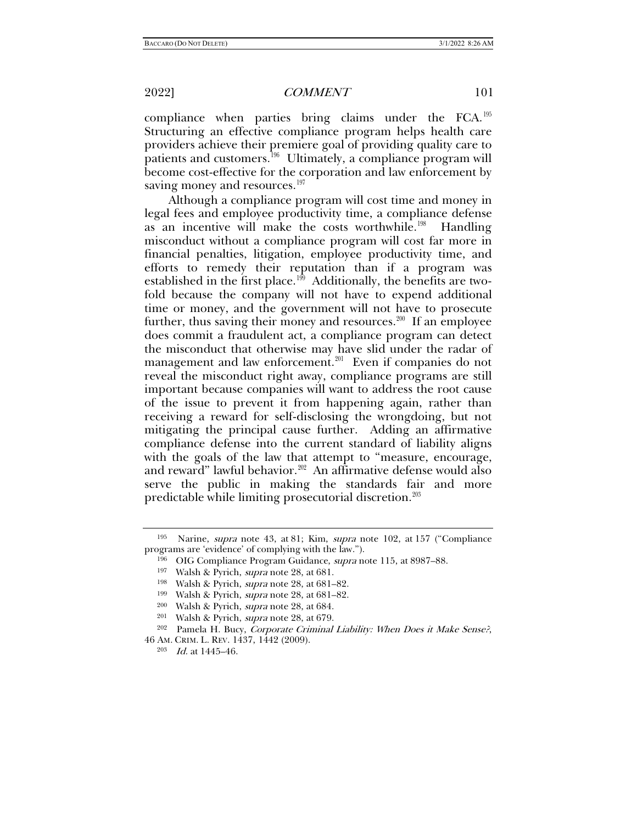compliance when parties bring claims under the FCA.[195](#page-28-0)  Structuring an effective compliance program helps health care providers achieve their premiere goal of providing quality care to patients and customers.<sup>196</sup> Ultimately, a compliance program will become cost-effective for the corporation and law enforcement by saving money and resources.<sup>[197](#page-28-2)</sup>

Although a compliance program will cost time and money in legal fees and employee productivity time, a compliance defense as an incentive will make the costs worthwhile.<sup>198</sup> Handling misconduct without a compliance program will cost far more in financial penalties, litigation, employee productivity time, and efforts to remedy their reputation than if a program was established in the first place.<sup>199</sup> Additionally, the benefits are twofold because the company will not have to expend additional time or money, and the government will not have to prosecute further, thus saving their money and resources.<sup>[200](#page-28-5)</sup> If an employee does commit a fraudulent act, a compliance program can detect the misconduct that otherwise may have slid under the radar of management and law enforcement.<sup>[201](#page-28-6)</sup> Even if companies do not reveal the misconduct right away, compliance programs are still important because companies will want to address the root cause of the issue to prevent it from happening again, rather than receiving a reward for self-disclosing the wrongdoing, but not mitigating the principal cause further. Adding an affirmative compliance defense into the current standard of liability aligns with the goals of the law that attempt to "measure, encourage, and reward" lawful behavior.<sup>202</sup> An affirmative defense would also serve the public in making the standards fair and more predictable while limiting prosecutorial discretion.<sup>203</sup>

<span id="page-28-3"></span><span id="page-28-2"></span><span id="page-28-1"></span><span id="page-28-0"></span><sup>195</sup> Narine, supra note [43,](#page-7-5) at 81; Kim, supra note [102,](#page-16-7) at 157 ("Compliance programs are 'evidence' of complying with the law.").

<sup>&</sup>lt;sup>196</sup> OIG Compliance Program Guidance, *supra* note [115,](#page-18-6) at 8987-88.

<sup>&</sup>lt;sup>197</sup> Walsh & Pyrich, *supra* note [28,](#page-5-6) at 681.

<sup>198</sup> Walsh & Pyrich, supra note [28,](#page-5-6) at 681–82.

<sup>&</sup>lt;sup>199</sup> Walsh & Pyrich, *supra* note [28,](#page-5-6) at 681–82.<br><sup>200</sup> Walsh & Pyrich, *supra* note 28, at 684.<br><sup>201</sup> Walsh & Pyrich, *supra* note 28, at 679.

<sup>&</sup>lt;sup>202</sup> Pamela H. Bucy, Corporate Criminal Liability: When Does it Make Sense?,

<span id="page-28-8"></span><span id="page-28-7"></span><span id="page-28-6"></span><span id="page-28-5"></span><span id="page-28-4"></span><sup>46</sup> AM. CRIM. L. REV. 1437, 1442 (2009). <sup>203</sup> Id. at 1445–46.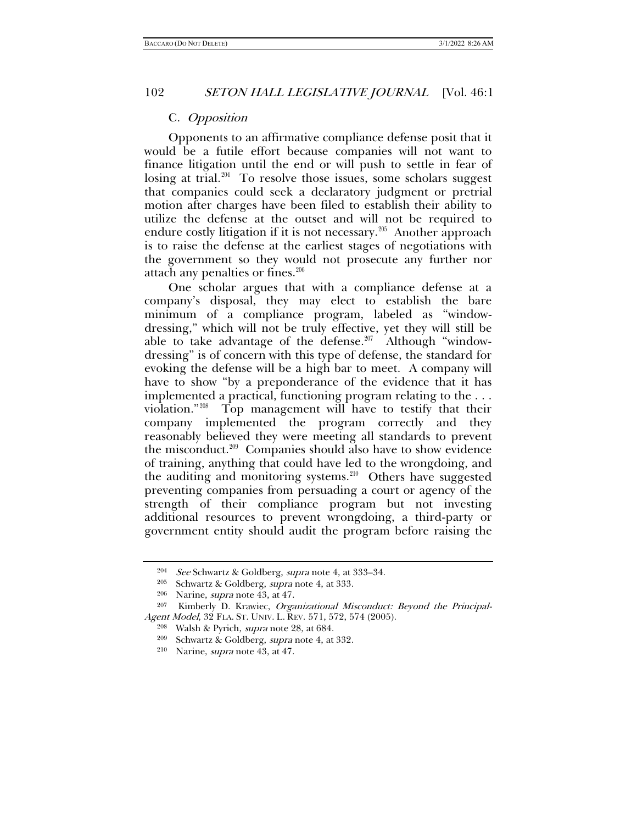#### C. Opposition

Opponents to an affirmative compliance defense posit that it would be a futile effort because companies will not want to finance litigation until the end or will push to settle in fear of losing at trial.<sup>[204](#page-29-0)</sup> To resolve those issues, some scholars suggest that companies could seek a declaratory judgment or pretrial motion after charges have been filed to establish their ability to utilize the defense at the outset and will not be required to endure costly litigation if it is not necessary.<sup>[205](#page-29-1)</sup> Another approach is to raise the defense at the earliest stages of negotiations with the government so they would not prosecute any further nor attach any penalties or fines.<sup>[206](#page-29-2)</sup>

<span id="page-29-7"></span>One scholar argues that with a compliance defense at a company's disposal, they may elect to establish the bare minimum of a compliance program, labeled as "windowdressing," which will not be truly effective, yet they will still be able to take advantage of the defense. $207$  Although "windowdressing" is of concern with this type of defense, the standard for evoking the defense will be a high bar to meet. A company will have to show "by a preponderance of the evidence that it has implemented a practical, functioning program relating to the . . . violation."[208](#page-29-4) Top management will have to testify that their company implemented the program correctly and they reasonably believed they were meeting all standards to prevent the misconduct.[209](#page-29-5) Companies should also have to show evidence of training, anything that could have led to the wrongdoing, and the auditing and monitoring systems.<sup>210</sup> Others have suggested preventing companies from persuading a court or agency of the strength of their compliance program but not investing additional resources to prevent wrongdoing, a third-party or government entity should audit the program before raising the

<sup>&</sup>lt;sup>204</sup> See Schwartz & Goldberg, supra note [4,](#page-1-6) at 333–34.<br><sup>205</sup> Schwartz & Goldberg, supra not[e 4,](#page-1-6) at 333.

<sup>206</sup> Narine, supra note [43,](#page-7-5) at 47.

<span id="page-29-6"></span><span id="page-29-5"></span><span id="page-29-4"></span><span id="page-29-3"></span><span id="page-29-2"></span><span id="page-29-1"></span><span id="page-29-0"></span><sup>207</sup> Kimberly D. Krawiec, Organizational Misconduct: Beyond the Principal-Agent Model, 32 FLA. ST. UNIV. L. REV. 571, 572, 574 (2005).<br><sup>208</sup> Walsh & Pyrich, *supra* note [28,](#page-5-6) at 684.<br><sup>209</sup> Schwartz & Goldberg, *supra* not[e 4,](#page-1-6) at 332.

<sup>210</sup> Narine, supra note [43,](#page-7-5) at 47.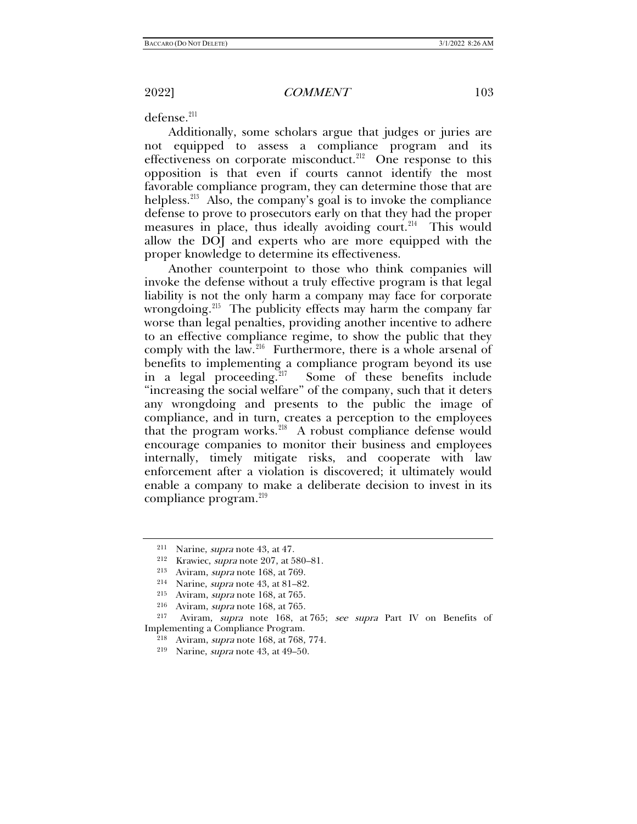defense.<sup>211</sup>

Additionally, some scholars argue that judges or juries are not equipped to assess a compliance program and its effectiveness on corporate misconduct.<sup>212</sup> One response to this opposition is that even if courts cannot identify the most favorable compliance program, they can determine those that are helpless.<sup>[213](#page-30-2)</sup> Also, the company's goal is to invoke the compliance defense to prove to prosecutors early on that they had the proper measures in place, thus ideally avoiding court.<sup>214</sup> This would allow the DOJ and experts who are more equipped with the proper knowledge to determine its effectiveness.

Another counterpoint to those who think companies will invoke the defense without a truly effective program is that legal liability is not the only harm a company may face for corporate wrongdoing.<sup>[215](#page-30-4)</sup> The publicity effects may harm the company far worse than legal penalties, providing another incentive to adhere to an effective compliance regime, to show the public that they comply with the law.<sup>[216](#page-30-5)</sup> Furthermore, there is a whole arsenal of benefits to implementing a compliance program beyond its use<br>in a legal proceeding.<sup>217</sup> Some of these benefits include Some of these benefits include "increasing the social welfare" of the company, such that it deters any wrongdoing and presents to the public the image of compliance, and in turn, creates a perception to the employees that the program works. $^{218}$  $^{218}$  $^{218}$  A robust compliance defense would encourage companies to monitor their business and employees internally, timely mitigate risks, and cooperate with law enforcement after a violation is discovered; it ultimately would enable a company to make a deliberate decision to invest in its compliance program.<sup>[219](#page-30-8)</sup>

<span id="page-30-0"></span><sup>&</sup>lt;sup>211</sup> Narine, *supra* note [43,](#page-7-5) at 47.<br><sup>212</sup> Krawiec, *supra* note [207,](#page-29-7) at 580–81.

<sup>&</sup>lt;sup>213</sup> Aviram, *supra* note [168,](#page-25-10) at 769.<br><sup>214</sup> Narine, *supra* note 43, at 81–82.

<sup>&</sup>lt;sup>215</sup> Aviram, *supra* note [168,](#page-25-10) at 765. <sup>216</sup> Aviram, *supra* note 168, at 765.

<span id="page-30-8"></span><span id="page-30-7"></span><span id="page-30-6"></span><span id="page-30-5"></span><span id="page-30-4"></span><span id="page-30-3"></span><span id="page-30-2"></span><span id="page-30-1"></span><sup>&</sup>lt;sup>217</sup> Aviram, *supra* note [168,](#page-25-10) at 765; *see supra* Part IV on Benefits of Implementing a Compliance Program.

<sup>&</sup>lt;sup>218</sup> Aviram, *supra* note [168,](#page-25-10) at 768, 774.<br><sup>219</sup> Narine, *supra* note [43,](#page-7-5) at 49–50.